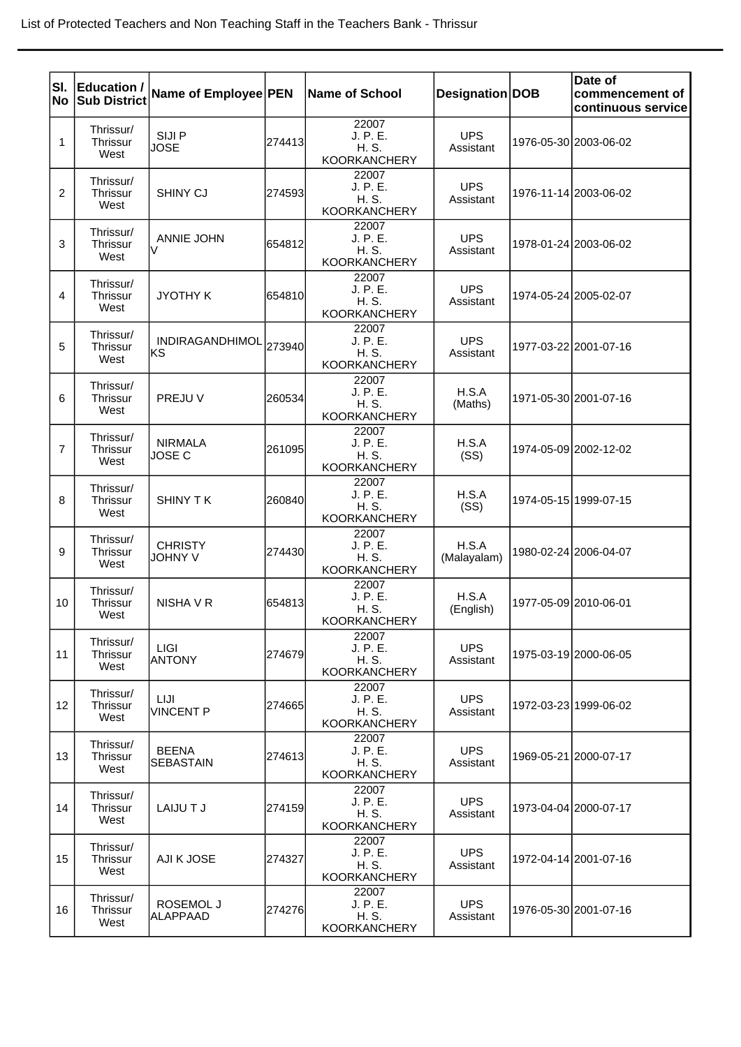| lsı.           | Education /<br>No Sub District       | Name of Employee PEN             |        | <b>Name of School</b>                             | Designation DOB         |                       | Date of<br>commencement of<br>continuous service |
|----------------|--------------------------------------|----------------------------------|--------|---------------------------------------------------|-------------------------|-----------------------|--------------------------------------------------|
| 1              | Thrissur/<br>Thrissur<br>West        | SIJI P<br><b>JOSE</b>            | 274413 | 22007<br>J. P. E.<br>H. S.<br><b>KOORKANCHERY</b> | <b>UPS</b><br>Assistant |                       | 1976-05-30 2003-06-02                            |
| 2              | Thrissur/<br>Thrissur<br>West        | SHINY CJ                         | 274593 | 22007<br>J. P. E.<br>H. S.<br><b>KOORKANCHERY</b> | <b>UPS</b><br>Assistant |                       | 1976-11-14 2003-06-02                            |
| 3              | Thrissur/<br>Thrissur<br>West        | <b>ANNIE JOHN</b>                | 654812 | 22007<br>J. P. E.<br>H. S.<br><b>KOORKANCHERY</b> | <b>UPS</b><br>Assistant |                       | 1978-01-24 2003-06-02                            |
| 4              | Thrissur/<br>Thrissur<br>West        | <b>JYOTHY K</b>                  | 654810 | 22007<br>J. P. E.<br>H. S.<br><b>KOORKANCHERY</b> | <b>UPS</b><br>Assistant |                       | 1974-05-24 2005-02-07                            |
| 5              | Thrissur/<br>Thrissur<br>West        | INDIRAGANDHIMOL 273940<br>lKS    |        | 22007<br>J. P. E.<br>H. S.<br><b>KOORKANCHERY</b> | <b>UPS</b><br>Assistant |                       | 1977-03-22 2001-07-16                            |
| 6              | Thrissur/<br>Thrissur<br>West        | PREJU V                          | 260534 | 22007<br>J. P. E.<br>H. S.<br><b>KOORKANCHERY</b> | H.S.A<br>(Maths)        |                       | 1971-05-30 2001-07-16                            |
| $\overline{7}$ | Thrissur/<br>Thrissur<br>West        | <b>NIRMALA</b><br>JOSE C         | 261095 | 22007<br>J. P. E.<br>H. S.<br><b>KOORKANCHERY</b> | H.S.A<br>(SS)           |                       | 1974-05-09 2002-12-02                            |
| 8              | Thrissur/<br>Thrissur<br>West        | <b>SHINY TK</b>                  | 260840 | 22007<br>J. P. E.<br>H. S.<br><b>KOORKANCHERY</b> | H.S.A<br>(SS)           |                       | 1974-05-15 1999-07-15                            |
| 9              | Thrissur/<br>Thrissur<br>West        | <b>CHRISTY</b><br>JOHNY V        | 274430 | 22007<br>J. P. E.<br>H. S.<br><b>KOORKANCHERY</b> | H.S.A<br>(Malayalam)    |                       | 1980-02-24 2006-04-07                            |
| 10             | Thrissur/<br><b>Thrissur</b><br>West | NISHA V R                        | 654813 | 22007<br>J. P. E.<br>H. S.<br><b>KOORKANCHERY</b> | H.S.A<br>(English)      | 1977-05-09 2010-06-01 |                                                  |
| 11             | Thrissur/<br><b>Thrissur</b><br>West | LIGI<br><b>ANTONY</b>            | 274679 | 22007<br>J. P. E.<br>H. S.<br><b>KOORKANCHERY</b> | <b>UPS</b><br>Assistant |                       | 1975-03-19 2000-06-05                            |
| 12             | Thrissur/<br>Thrissur<br>West        | <b>LIJI</b><br><b>VINCENT P</b>  | 274665 | 22007<br>J. P. E.<br>H. S.<br><b>KOORKANCHERY</b> | <b>UPS</b><br>Assistant |                       | 1972-03-23 1999-06-02                            |
| 13             | Thrissur/<br>Thrissur<br>West        | <b>BEENA</b><br><b>SEBASTAIN</b> | 274613 | 22007<br>J. P. E.<br>H. S.<br><b>KOORKANCHERY</b> | <b>UPS</b><br>Assistant |                       | 1969-05-21 2000-07-17                            |
| 14             | Thrissur/<br>Thrissur<br>West        | LAIJUT J                         | 274159 | 22007<br>J. P. E.<br>H. S.<br><b>KOORKANCHERY</b> | <b>UPS</b><br>Assistant |                       | 1973-04-04 2000-07-17                            |
| 15             | Thrissur/<br>Thrissur<br>West        | AJI K JOSE                       | 274327 | 22007<br>J. P. E.<br>H. S.<br><b>KOORKANCHERY</b> | <b>UPS</b><br>Assistant |                       | 1972-04-14 2001-07-16                            |
| 16             | Thrissur/<br>Thrissur<br>West        | ROSEMOL J<br><b>ALAPPAAD</b>     | 274276 | 22007<br>J. P. E.<br>H. S.<br><b>KOORKANCHERY</b> | <b>UPS</b><br>Assistant |                       | 1976-05-30 2001-07-16                            |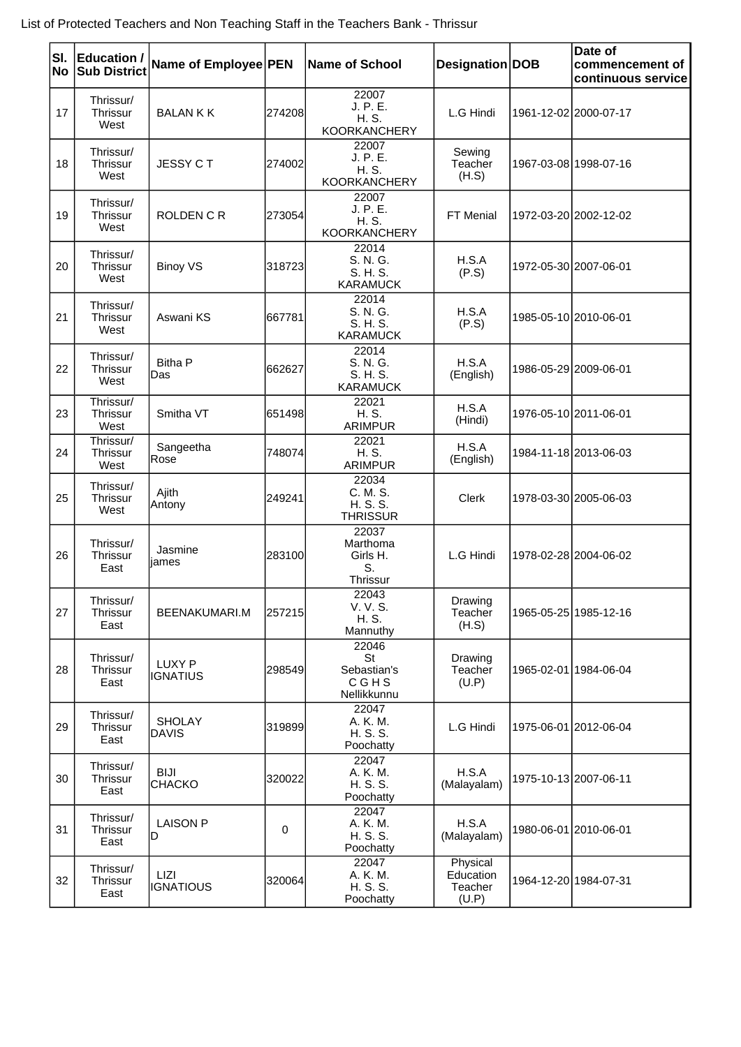| SI.<br>No | <b>Education /</b><br><b>Sub District</b> | Name of Employee PEN            |             | Name of School                                    | Designation DOB                           | Date of<br>commencement of<br>continuous service |
|-----------|-------------------------------------------|---------------------------------|-------------|---------------------------------------------------|-------------------------------------------|--------------------------------------------------|
| 17        | Thrissur/<br>Thrissur<br>West             | <b>BALANKK</b>                  | 274208      | 22007<br>J. P. E.<br>H. S.<br><b>KOORKANCHERY</b> | L.G Hindi                                 | 1961-12-02 2000-07-17                            |
| 18        | Thrissur/<br>Thrissur<br>West             | <b>JESSY CT</b>                 | 274002      | 22007<br>J. P. E.<br>H. S.<br><b>KOORKANCHERY</b> | Sewing<br>Teacher<br>(H.S)                | 1967-03-08 1998-07-16                            |
| 19        | Thrissur/<br>Thrissur<br>West             | <b>ROLDEN C R</b>               | 273054      | 22007<br>J. P. E.<br>H. S.<br><b>KOORKANCHERY</b> | FT Menial                                 | 1972-03-20 2002-12-02                            |
| 20        | Thrissur/<br>Thrissur<br>West             | <b>Binoy VS</b>                 | 318723      | 22014<br>S. N. G.<br>S. H. S.<br><b>KARAMUCK</b>  | H.S.A<br>(P.S)                            | 1972-05-30 2007-06-01                            |
| 21        | Thrissur/<br><b>Thrissur</b><br>West      | Aswani KS                       | 667781      | 22014<br>S. N. G.<br>S. H. S.<br><b>KARAMUCK</b>  | H.S.A<br>(P.S)                            | 1985-05-10 2010-06-01                            |
| 22        | Thrissur/<br>Thrissur<br>West             | <b>Bitha P</b><br>Das           | 662627      | 22014<br>S. N. G.<br>S. H. S.<br><b>KARAMUCK</b>  | H.S.A<br>(English)                        | 1986-05-29 2009-06-01                            |
| 23        | Thrissur/<br><b>Thrissur</b><br>West      | Smitha VT                       | 651498      | 22021<br>H. S.<br><b>ARIMPUR</b>                  | H.S.A<br>(Hindi)                          | 1976-05-10 2011-06-01                            |
| 24        | Thrissur/<br>Thrissur<br>West             | Sangeetha<br>Rose               | 748074      | 22021<br>H. S.<br><b>ARIMPUR</b>                  | H.S.A<br>(English)                        | 1984-11-18 2013-06-03                            |
| 25        | Thrissur/<br>Thrissur<br>West             | Ajith<br>Antony                 | 249241      | 22034<br>C. M. S.<br>H. S. S.<br><b>THRISSUR</b>  | <b>Clerk</b>                              | 1978-03-30 2005-06-03                            |
| 26        | Thrissur/<br>Thrissur<br>East             | Jasmine<br>iames                | 283100      | 22037<br>Marthoma<br>Girls H.<br>S.<br>Thrissur   | L.G Hindi                                 | 1978-02-28 2004-06-02                            |
| 27        | Thrissur/<br>Thrissur<br>East             | BEENAKUMARI.M                   | 257215      | 22043<br>V. V. S.<br>H. S.<br>Mannuthy            | Drawing<br>Teacher<br>(H.S)               | 1965-05-25 1985-12-16                            |
| 28        | Thrissur/<br>Thrissur<br>East             | LUXY P<br><b>IGNATIUS</b>       | 298549      | 22046<br>St<br>Sebastian's<br>CGHS<br>Nellikkunnu | Drawing<br>Teacher<br>(U.P)               | 1965-02-01 1984-06-04                            |
| 29        | Thrissur/<br>Thrissur<br>East             | <b>SHOLAY</b><br><b>DAVIS</b>   | 319899      | 22047<br>A. K. M.<br>H. S. S.<br>Poochatty        | L.G Hindi                                 | 1975-06-01 2012-06-04                            |
| 30        | Thrissur/<br>Thrissur<br>East             | <b>BIJI</b><br><b>CHACKO</b>    | 320022      | 22047<br>A. K. M.<br>H. S. S.<br>Poochatty        | H.S.A<br>(Malayalam)                      | 1975-10-13 2007-06-11                            |
| 31        | Thrissur/<br>Thrissur<br>East             | <b>LAISON P</b><br>D            | $\mathbf 0$ | 22047<br>A. K. M.<br>H. S. S.<br>Poochatty        | H.S.A<br>(Malayalam)                      | 1980-06-01 2010-06-01                            |
| 32        | Thrissur/<br>Thrissur<br>East             | <b>LIZI</b><br><b>IGNATIOUS</b> | 320064      | 22047<br>A. K. M.<br>H. S. S.<br>Poochatty        | Physical<br>Education<br>Teacher<br>(U.P) | 1964-12-20 1984-07-31                            |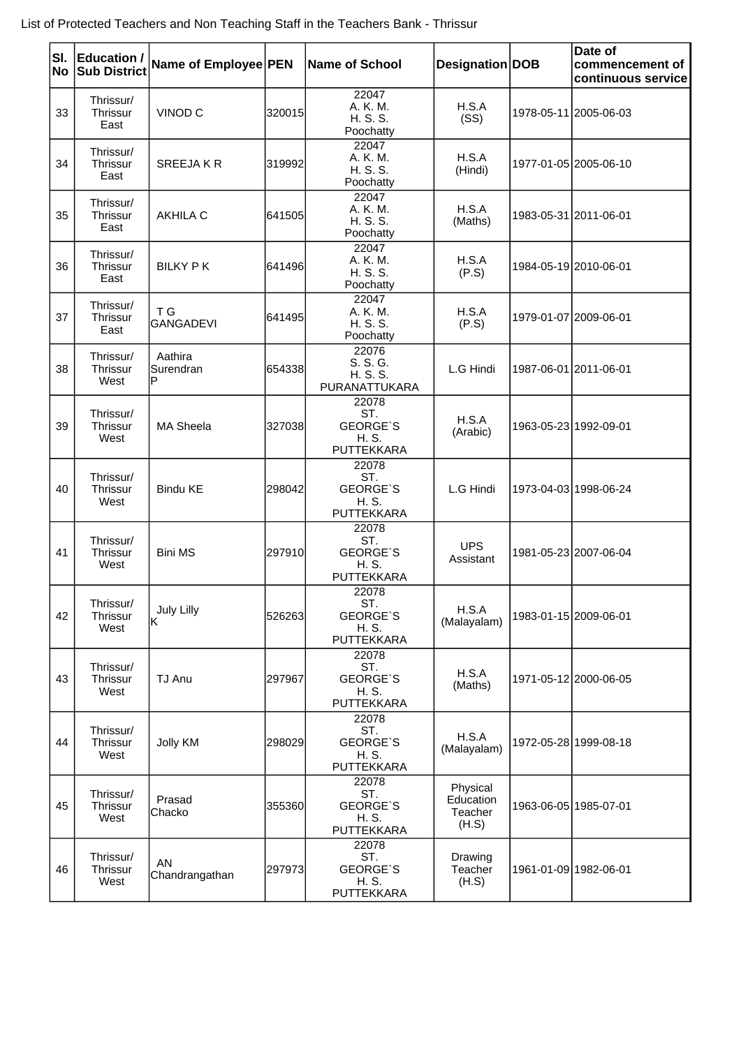| SI.<br>No | <b>Education /</b><br><b>Sub District</b> | Name of Employee PEN      |        | <b>Name of School</b>                                         | Designation DOB                           | Date of<br>commencement of<br>continuous service |
|-----------|-------------------------------------------|---------------------------|--------|---------------------------------------------------------------|-------------------------------------------|--------------------------------------------------|
| 33        | Thrissur/<br>Thrissur<br>East             | VINOD <sub>C</sub>        | 320015 | 22047<br>A. K. M.<br>H. S. S.<br>Poochatty                    | H.S.A<br>(SS)                             | 1978-05-11 2005-06-03                            |
| 34        | Thrissur/<br>Thrissur<br>East             | <b>SREEJAKR</b>           | 319992 | 22047<br>A. K. M.<br>H. S. S.<br>Poochatty                    | H.S.A<br>(Hindi)                          | 1977-01-05 2005-06-10                            |
| 35        | Thrissur/<br>Thrissur<br>East             | <b>AKHILA C</b>           | 641505 | 22047<br>A. K. M.<br>H. S. S.<br>Poochatty                    | H.S.A<br>(Maths)                          | 1983-05-31 2011-06-01                            |
| 36        | Thrissur/<br>Thrissur<br>East             | <b>BILKY PK</b>           | 641496 | 22047<br>A. K. M.<br>H. S. S.<br>Poochatty                    | H.S.A<br>(P.S)                            | 1984-05-19 2010-06-01                            |
| 37        | Thrissur/<br>Thrissur<br>East             | T G<br><b>GANGADEVI</b>   | 641495 | 22047<br>A. K. M.<br>H. S. S.<br>Poochatty                    | H.S.A<br>(P.S)                            | 1979-01-07 2009-06-01                            |
| 38        | Thrissur/<br>Thrissur<br>West             | Aathira<br>Surendran<br>P | 654338 | 22076<br>S. S. G.<br>H. S. S.<br>PURANATTUKARA                | L.G Hindi                                 | 1987-06-01 2011-06-01                            |
| 39        | Thrissur/<br><b>Thrissur</b><br>West      | <b>MA Sheela</b>          | 327038 | 22078<br>ST.<br><b>GEORGE'S</b><br>H. S.<br><b>PUTTEKKARA</b> | H.S.A<br>(Arabic)                         | 1963-05-23 1992-09-01                            |
| 40        | Thrissur/<br>Thrissur<br>West             | <b>Bindu KE</b>           | 298042 | 22078<br>ST.<br><b>GEORGE'S</b><br>H. S.<br>PUTTEKKARA        | L.G Hindi                                 | 1973-04-03 1998-06-24                            |
| 41        | Thrissur/<br>Thrissur<br>West             | <b>Bini MS</b>            | 297910 | 22078<br>ST.<br><b>GEORGE'S</b><br>H. S.<br>PUTTEKKARA        | <b>UPS</b><br>Assistant                   | 1981-05-23 2007-06-04                            |
| 42        | Thrissur/<br>Thrissur<br>West             | July Lilly<br>ΙK          | 526263 | 22078<br>ST.<br><b>GEORGE'S</b><br>H. S.<br><b>PUTTEKKARA</b> | H.S.A<br>(Malayalam)                      | 1983-01-15 2009-06-01                            |
| 43        | Thrissur/<br>Thrissur<br>West             | TJ Anu                    | 297967 | 22078<br>ST.<br><b>GEORGE'S</b><br>H. S.<br>PUTTEKKARA        | H.S.A<br>(Maths)                          | 1971-05-12 2000-06-05                            |
| 44        | Thrissur/<br>Thrissur<br>West             | Jolly KM                  | 298029 | 22078<br>ST.<br><b>GEORGE'S</b><br>H. S.<br>PUTTEKKARA        | H.S.A<br>(Malayalam)                      | 1972-05-28 1999-08-18                            |
| 45        | Thrissur/<br>Thrissur<br>West             | Prasad<br>Chacko          | 355360 | 22078<br>ST.<br><b>GEORGE'S</b><br>H. S.<br>PUTTEKKARA        | Physical<br>Education<br>Teacher<br>(H.S) | 1963-06-05 1985-07-01                            |
| 46        | Thrissur/<br>Thrissur<br>West             | AN<br>Chandrangathan      | 297973 | 22078<br>ST.<br><b>GEORGE'S</b><br>H. S.<br>PUTTEKKARA        | Drawing<br>Teacher<br>(H.S)               | 1961-01-09 1982-06-01                            |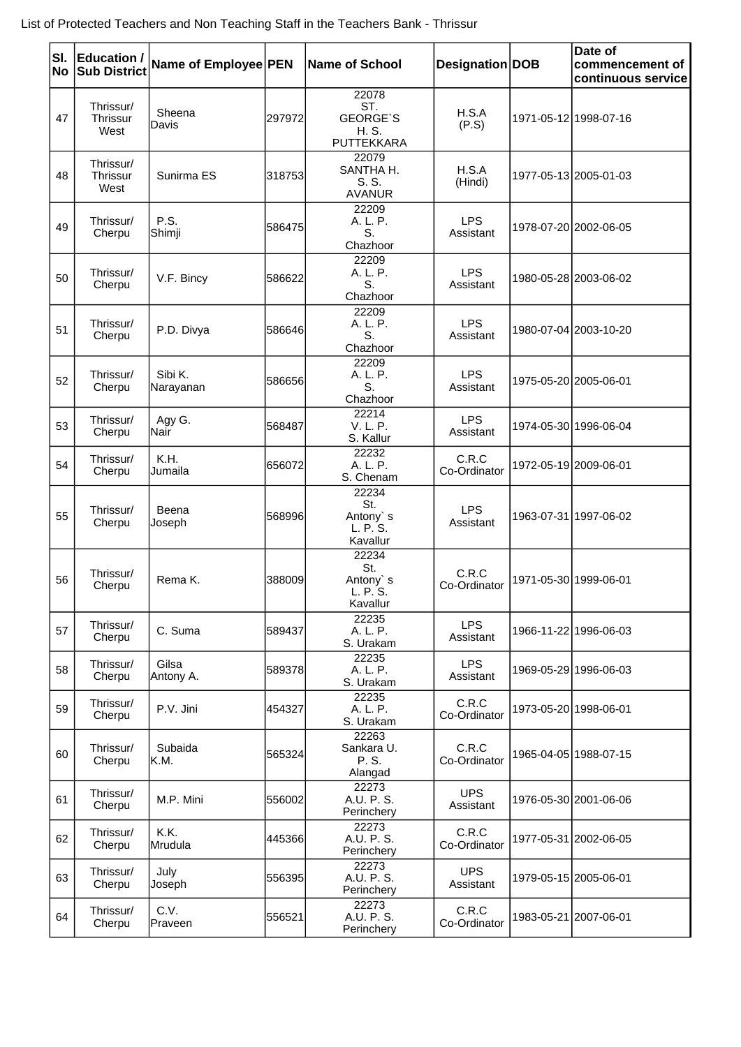| SI.<br>No | <b>Education /</b><br><b>Sub District</b> | Name of Employee PEN |         | <b>Name of School</b>                                         | Designation DOB         | Date of<br>commencement of<br>continuous service |
|-----------|-------------------------------------------|----------------------|---------|---------------------------------------------------------------|-------------------------|--------------------------------------------------|
| 47        | Thrissur/<br><b>Thrissur</b><br>West      | Sheena<br>Davis      | 297972  | 22078<br>ST.<br><b>GEORGE'S</b><br>H. S.<br><b>PUTTEKKARA</b> | H.S.A<br>(P.S)          | 1971-05-12 1998-07-16                            |
| 48        | Thrissur/<br>Thrissur<br>West             | Sunirma ES           | 318753  | 22079<br>SANTHA H.<br>S. S.<br><b>AVANUR</b>                  | H.S.A<br>(Hindi)        | 1977-05-13 2005-01-03                            |
| 49        | Thrissur/<br>Cherpu                       | P.S.<br>Shimji       | 586475  | 22209<br>A. L. P.<br>S.<br>Chazhoor                           | <b>LPS</b><br>Assistant | 1978-07-20 2002-06-05                            |
| 50        | Thrissur/<br>Cherpu                       | V.F. Bincy           | 586622  | 22209<br>A. L. P.<br>S.<br>Chazhoor                           | <b>LPS</b><br>Assistant | 1980-05-28 2003-06-02                            |
| 51        | Thrissur/<br>Cherpu                       | P.D. Divya           | 586646  | 22209<br>A. L. P.<br>S.<br>Chazhoor                           | <b>LPS</b><br>Assistant | 1980-07-04 2003-10-20                            |
| 52        | Thrissur/<br>Cherpu                       | Sibi K.<br>Narayanan | 586656  | 22209<br>A. L. P.<br>S.<br>Chazhoor                           | <b>LPS</b><br>Assistant | 1975-05-20 2005-06-01                            |
| 53        | Thrissur/<br>Cherpu                       | Agy G.<br> Nair      | 568487  | 22214<br>V. L. P.<br>S. Kallur                                | <b>LPS</b><br>Assistant | 1974-05-30 1996-06-04                            |
| 54        | Thrissur/<br>Cherpu                       | K.H.<br>Jumaila      | 656072  | 22232<br>A. L. P.<br>S. Chenam                                | C.R.C<br>Co-Ordinator   | 1972-05-19 2009-06-01                            |
| 55        | Thrissur/<br>Cherpu                       | Beena<br>Joseph      | 5689961 | 22234<br>St.<br>Antony s<br>L. P. S.<br>Kavallur              | <b>LPS</b><br>Assistant | 1963-07-31 1997-06-02                            |
| 56        | Thrissur/<br>Cherpu                       | Rema K.              | 388009  | 22234<br>St.<br>Antony's<br>L. P. S.<br>Kavallur              | C.R.C<br>Co-Ordinator   | 1971-05-30 1999-06-01                            |
| 57        | Thrissur/<br>Cherpu                       | C. Suma              | 589437  | 22235<br>A. L. P.<br>S. Urakam                                | <b>LPS</b><br>Assistant | 1966-11-22 1996-06-03                            |
| 58        | Thrissur/<br>Cherpu                       | Gilsa<br>Antony A.   | 589378  | 22235<br>A. L. P.<br>S. Urakam                                | <b>LPS</b><br>Assistant | 1969-05-29 1996-06-03                            |
| 59        | Thrissur/<br>Cherpu                       | P.V. Jini            | 454327  | 22235<br>A. L. P.<br>S. Urakam                                | C.R.C<br>Co-Ordinator   | 1973-05-20 1998-06-01                            |
| 60        | Thrissur/<br>Cherpu                       | Subaida<br>IK.M.     | 565324  | 22263<br>Sankara U.<br>P. S.<br>Alangad                       | C.R.C<br>Co-Ordinator   | 1965-04-05 1988-07-15                            |
| 61        | Thrissur/<br>Cherpu                       | M.P. Mini            | 556002  | 22273<br>A.U. P. S.<br>Perinchery                             | <b>UPS</b><br>Assistant | 1976-05-30 2001-06-06                            |
| 62        | Thrissur/<br>Cherpu                       | K.K.<br>Mrudula      | 445366  | 22273<br>A.U. P. S.<br>Perinchery                             | C.R.C<br>Co-Ordinator   | 1977-05-31 2002-06-05                            |
| 63        | Thrissur/<br>Cherpu                       | July<br>Joseph       | 556395  | 22273<br>A.U. P. S.<br>Perinchery                             | <b>UPS</b><br>Assistant | 1979-05-15 2005-06-01                            |
| 64        | Thrissur/<br>Cherpu                       | C.V.<br>Praveen      | 556521  | 22273<br>A.U. P. S.<br>Perinchery                             | C.R.C<br>Co-Ordinator   | 1983-05-21 2007-06-01                            |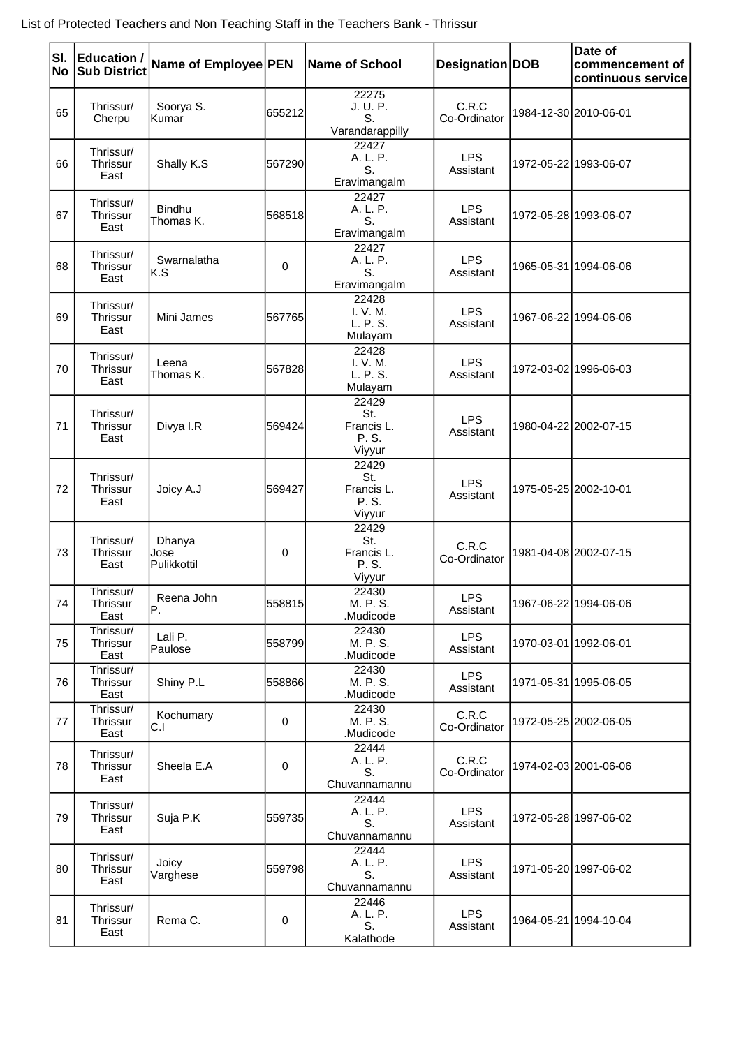| SI.<br><b>No</b> | <b>Education /</b><br><b>Sub District</b> | Name of Employee PEN          |             | Name of School                                | Designation DOB         | Date of<br>commencement of<br>continuous service |
|------------------|-------------------------------------------|-------------------------------|-------------|-----------------------------------------------|-------------------------|--------------------------------------------------|
| 65               | Thrissur/<br>Cherpu                       | Soorya S.<br> Kumar           | 655212      | 22275<br>J. U. P.<br>S.<br>Varandarappilly    | C.R.C<br>Co-Ordinator   | 1984-12-30 2010-06-01                            |
| 66               | Thrissur/<br>Thrissur<br>East             | Shally K.S                    | 567290      | 22427<br>A. L. P.<br>S.<br>Eravimangalm       | <b>LPS</b><br>Assistant | 1972-05-22 1993-06-07                            |
| 67               | Thrissur/<br><b>Thrissur</b><br>East      | <b>Bindhu</b><br>Thomas K.    | 568518      | 22427<br>A. L. P.<br>S.<br>Eravimangalm       | <b>LPS</b><br>Assistant | 1972-05-28 1993-06-07                            |
| 68               | Thrissur/<br>Thrissur<br>East             | Swarnalatha<br>lK.S           | 0           | 22427<br>A. L. P.<br>S.<br>Eravimangalm       | <b>LPS</b><br>Assistant | 1965-05-31 1994-06-06                            |
| 69               | Thrissur/<br><b>Thrissur</b><br>East      | Mini James                    | 567765      | 22428<br>I. V. M.<br>L. P. S.<br>Mulayam      | <b>LPS</b><br>Assistant | 1967-06-22 1994-06-06                            |
| 70               | Thrissur/<br>Thrissur<br>East             | Leena<br>Thomas K.            | 567828      | 22428<br>I. V. M.<br>L. P. S.<br>Mulayam      | <b>LPS</b><br>Assistant | 1972-03-02 1996-06-03                            |
| 71               | Thrissur/<br>Thrissur<br>East             | Divya I.R                     | 569424      | 22429<br>St.<br>Francis L.<br>P. S.<br>Viyyur | <b>LPS</b><br>Assistant | 1980-04-22 2002-07-15                            |
| 72               | Thrissur/<br>Thrissur<br>East             | Joicy A.J                     | 569427      | 22429<br>St.<br>Francis L.<br>P. S.<br>Viyyur | <b>LPS</b><br>Assistant | 1975-05-25 2002-10-01                            |
| 73               | Thrissur/<br>Thrissur<br>East             | Dhanya<br>Jose<br>Pulikkottil | 0           | 22429<br>St.<br>Francis L.<br>P. S.<br>Viyyur | C.R.C<br>Co-Ordinator   | 1981-04-08 2002-07-15                            |
| 74               | Thrissur/<br>Thrissur<br>East             | Reena John<br>IP.             | 558815      | 22430<br>M. P. S.<br>.Mudicode                | <b>LPS</b><br>Assistant | 1967-06-22 1994-06-06                            |
| 75               | Thrissur/<br>Thrissur<br>East             | Lali P.<br>Paulose            | 558799      | 22430<br>M. P. S.<br>.Mudicode                | <b>LPS</b><br>Assistant | 1970-03-01 1992-06-01                            |
| 76               | Thrissur/<br>Thrissur<br>East             | Shiny P.L                     | 558866      | 22430<br>M. P. S.<br>Mudicode.                | <b>LPS</b><br>Assistant | 1971-05-31 1995-06-05                            |
| 77               | Thrissur/<br>Thrissur<br>East             | Kochumary<br>C.I              | $\mathbf 0$ | 22430<br>M. P. S.<br>.Mudicode                | C.R.C<br>Co-Ordinator   | 1972-05-25 2002-06-05                            |
| 78               | Thrissur/<br>Thrissur<br>East             | Sheela E.A                    | 0           | 22444<br>A. L. P.<br>S.<br>Chuvannamannu      | C.R.C<br>Co-Ordinator   | 1974-02-03 2001-06-06                            |
| 79               | Thrissur/<br>Thrissur<br>East             | Suja P.K                      | 559735      | 22444<br>A. L. P.<br>S.<br>Chuvannamannu      | <b>LPS</b><br>Assistant | 1972-05-28 1997-06-02                            |
| 80               | Thrissur/<br>Thrissur<br>East             | Joicy<br>Varghese             | 559798      | 22444<br>A. L. P.<br>S.<br>Chuvannamannu      | <b>LPS</b><br>Assistant | 1971-05-20 1997-06-02                            |
| 81               | Thrissur/<br>Thrissur<br>East             | Rema C.                       | 0           | 22446<br>A. L. P.<br>S.<br>Kalathode          | <b>LPS</b><br>Assistant | 1964-05-21 1994-10-04                            |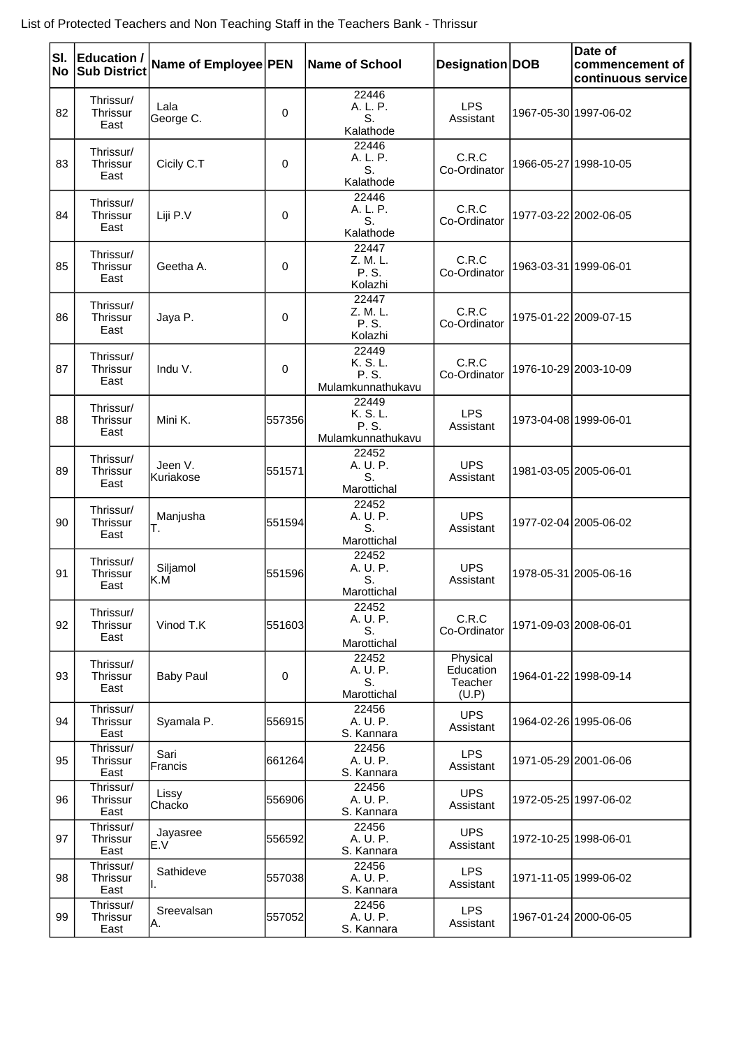| SI.<br>No | <b>Education /</b><br><b>Sub District</b> | Name of Employee PEN  |           | <b>Name of School</b>                           | Designation   DOB                         | Date of<br>commencement of<br>continuous service |
|-----------|-------------------------------------------|-----------------------|-----------|-------------------------------------------------|-------------------------------------------|--------------------------------------------------|
| 82        | Thrissur/<br>Thrissur<br>East             | Lala<br>George C.     | 0         | 22446<br>A. L. P.<br>S.<br>Kalathode            | <b>LPS</b><br>Assistant                   | 1967-05-30 1997-06-02                            |
| 83        | Thrissur/<br>Thrissur<br>East             | Cicily C.T            | 0         | 22446<br>A. L. P.<br>S.<br>Kalathode            | C.R.C<br>Co-Ordinator                     | 1966-05-27 1998-10-05                            |
| 84        | Thrissur/<br>Thrissur<br>East             | Liji P.V              | 0         | 22446<br>A. L. P.<br>S.<br>Kalathode            | C.R.C<br>Co-Ordinator                     | 1977-03-22 2002-06-05                            |
| 85        | Thrissur/<br>Thrissur<br>East             | Geetha A.             | 0         | 22447<br>Z. M. L.<br>P. S.<br>Kolazhi           | C.R.C<br>Co-Ordinator                     | 1963-03-31 1999-06-01                            |
| 86        | Thrissur/<br>Thrissur<br>East             | Jaya P.               | 0         | 22447<br>Z. M. L.<br>P. S.<br>Kolazhi           | C.R.C<br>Co-Ordinator                     | 1975-01-22 2009-07-15                            |
| 87        | Thrissur/<br>Thrissur<br>East             | Indu V.               | 0         | 22449<br>K. S. L.<br>P. S.<br>Mulamkunnathukavu | C.R.C<br>Co-Ordinator                     | 1976-10-29 2003-10-09                            |
| 88        | Thrissur/<br>Thrissur<br>East             | Mini K.               | 557356    | 22449<br>K. S. L.<br>P. S.<br>Mulamkunnathukavu | <b>LPS</b><br>Assistant                   | 1973-04-08 1999-06-01                            |
| 89        | Thrissur/<br>Thrissur<br>East             | Jeen V.<br>lKuriakose | 551571    | 22452<br>A. U. P.<br>S.<br>Marottichal          | <b>UPS</b><br>Assistant                   | 1981-03-05 2005-06-01                            |
| 90        | Thrissur/<br>Thrissur<br>East             | Manjusha<br>Т.        | 551594    | 22452<br>A. U. P.<br>S.<br>Marottichal          | <b>UPS</b><br>Assistant                   | 1977-02-04 2005-06-02                            |
| 91        | Thrissur/<br>Thrissur<br>East             | Siljamol<br>K.M       | 551596    | 22452<br>A. U. P.<br>S.<br>Marottichal          | <b>UPS</b><br>Assistant                   | 1978-05-31 2005-06-16                            |
| 92        | Thrissur/<br><b>Thrissur</b><br>East      | Vinod T.K             | 551603    | 22452<br>A. U. P.<br>S.<br>Marottichal          | C.R.C<br>Co-Ordinator                     | 1971-09-03 2008-06-01                            |
| 93        | Thrissur/<br>Thrissur<br>East             | <b>Baby Paul</b>      | $\pmb{0}$ | 22452<br>A. U. P.<br>S.<br>Marottichal          | Physical<br>Education<br>Teacher<br>(U.P) | 1964-01-22 1998-09-14                            |
| 94        | Thrissur/<br>Thrissur<br>East             | Syamala P.            | 556915    | 22456<br>A. U. P.<br>S. Kannara                 | <b>UPS</b><br>Assistant                   | 1964-02-26 1995-06-06                            |
| 95        | Thrissur/<br>Thrissur<br>East             | Sari<br>Francis       | 661264    | 22456<br>A. U. P.<br>S. Kannara                 | <b>LPS</b><br>Assistant                   | 1971-05-29 2001-06-06                            |
| 96        | Thrissur/<br>Thrissur<br>East             | Lissy<br>Chacko       | 556906    | 22456<br>A. U. P.<br>S. Kannara                 | <b>UPS</b><br>Assistant                   | 1972-05-25 1997-06-02                            |
| 97        | Thrissur/<br>Thrissur<br>East             | Jayasree<br>E.V       | 556592    | 22456<br>A. U. P.<br>S. Kannara                 | <b>UPS</b><br>Assistant                   | 1972-10-25 1998-06-01                            |
| 98        | Thrissur/<br>Thrissur<br>East             | Sathideve<br>ΙΙ.      | 557038    | 22456<br>A. U. P.<br>S. Kannara                 | <b>LPS</b><br>Assistant                   | 1971-11-05 1999-06-02                            |
| 99        | Thrissur/<br>Thrissur<br>East             | Sreevalsan<br>IA.     | 557052    | 22456<br>A. U. P.<br>S. Kannara                 | <b>LPS</b><br>Assistant                   | 1967-01-24 2000-06-05                            |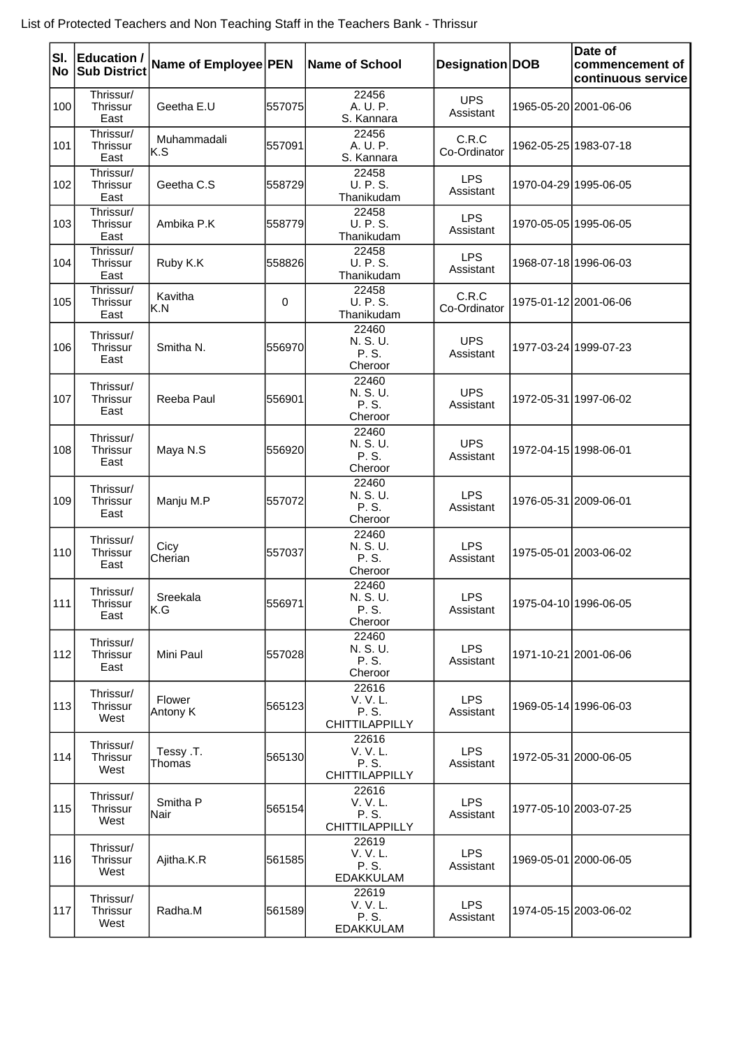| SI.<br>No | <b>Education /</b><br><b>Sub District</b> | Name of Employee PEN |        | Name of School                                 | Designation DOB         | Date of<br>commencement of<br>continuous service |
|-----------|-------------------------------------------|----------------------|--------|------------------------------------------------|-------------------------|--------------------------------------------------|
| 100       | Thrissur/<br>Thrissur<br>East             | Geetha E.U           | 557075 | 22456<br>A. U. P.<br>S. Kannara                | <b>UPS</b><br>Assistant | 1965-05-20 2001-06-06                            |
| 101       | Thrissur/<br>Thrissur<br>East             | Muhammadali<br>K.S   | 557091 | 22456<br>A. U. P.<br>S. Kannara                | C.R.C<br>Co-Ordinator   | 1962-05-25 1983-07-18                            |
| 102       | Thrissur/<br><b>Thrissur</b><br>East      | Geetha C.S.          | 558729 | 22458<br><b>U. P. S.</b><br>Thanikudam         | <b>LPS</b><br>Assistant | 1970-04-29 1995-06-05                            |
| 103       | Thrissur/<br>Thrissur<br>East             | Ambika P.K           | 558779 | 22458<br><b>U. P. S.</b><br>Thanikudam         | <b>LPS</b><br>Assistant | 1970-05-05 1995-06-05                            |
| 104       | Thrissur/<br>Thrissur<br>East             | Ruby K.K             | 558826 | 22458<br>U. P. S.<br>Thanikudam                | <b>LPS</b><br>Assistant | 1968-07-18 1996-06-03                            |
| 105       | Thrissur/<br>Thrissur<br>East             | Kavitha<br>K.N       | 0      | 22458<br><b>U. P. S.</b><br>Thanikudam         | C.R.C<br>Co-Ordinator   | 1975-01-12 2001-06-06                            |
| 106       | Thrissur/<br><b>Thrissur</b><br>East      | Smitha N.            | 556970 | 22460<br>N. S. U.<br>P. S.<br>Cheroor          | <b>UPS</b><br>Assistant | 1977-03-24 1999-07-23                            |
| 107       | Thrissur/<br>Thrissur<br>East             | Reeba Paul           | 556901 | 22460<br>N. S. U.<br>P. S.<br>Cheroor          | <b>UPS</b><br>Assistant | 1972-05-31 1997-06-02                            |
| 108       | Thrissur/<br><b>Thrissur</b><br>East      | Maya N.S             | 556920 | 22460<br>N. S. U.<br>P. S.<br>Cheroor          | <b>UPS</b><br>Assistant | 1972-04-15 1998-06-01                            |
| 109       | Thrissur/<br>Thrissur<br>East             | Manju M.P            | 557072 | 22460<br>N. S. U.<br>P. S.<br>Cheroor          | <b>LPS</b><br>Assistant | 1976-05-31 2009-06-01                            |
| 110       | Thrissur/<br>Thrissur<br>East             | Cicy<br>Cherian      | 557037 | 22460<br>N. S. U.<br>P. S.<br>Cheroor          | <b>LPS</b><br>Assistant | 1975-05-01 2003-06-02                            |
| 111       | Thrissur/<br>Thrissur<br>East             | Sreekala<br>lK.G     | 556971 | 22460<br>N. S. U.<br>P. S.<br>Cheroor          | <b>LPS</b><br>Assistant | 1975-04-10 1996-06-05                            |
| 112       | Thrissur/<br>Thrissur<br>East             | Mini Paul            | 557028 | 22460<br>N. S. U.<br>P. S.<br>Cheroor          | <b>LPS</b><br>Assistant | 1971-10-21 2001-06-06                            |
| 113       | Thrissur/<br>Thrissur<br>West             | Flower<br>Antony K   | 565123 | 22616<br>V. V. L.<br>P. S.<br>CHITTILAPPILLY   | <b>LPS</b><br>Assistant | 1969-05-14 1996-06-03                            |
| 114       | Thrissur/<br>Thrissur<br>West             | Tessy .T.<br>Thomas  | 565130 | 22616<br>V. V. L.<br>P. S.<br>CHITTILAPPILLY   | <b>LPS</b><br>Assistant | 1972-05-31 2000-06-05                            |
| 115       | Thrissur/<br>Thrissur<br>West             | Smitha P<br>Nair     | 565154 | 22616<br>V. V. L.<br>P. S.<br>CHITTILAPPILLY   | <b>LPS</b><br>Assistant | 1977-05-10 2003-07-25                            |
| 116       | Thrissur/<br>Thrissur<br>West             | Ajitha.K.R           | 561585 | 22619<br>V. V. L.<br>P. S.<br><b>EDAKKULAM</b> | <b>LPS</b><br>Assistant | 1969-05-01 2000-06-05                            |
| 117       | Thrissur/<br>Thrissur<br>West             | Radha.M              | 561589 | 22619<br>V. V. L.<br>P. S.<br><b>EDAKKULAM</b> | <b>LPS</b><br>Assistant | 1974-05-15 2003-06-02                            |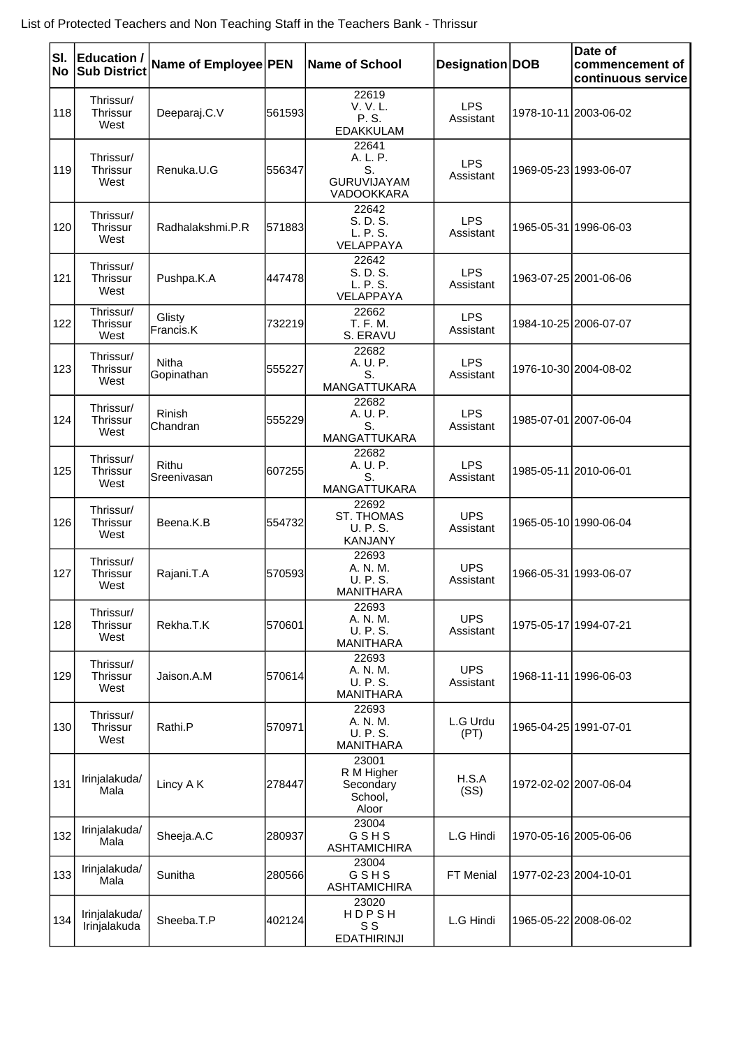| SI.<br>No | <b>Education /</b><br><b>Sub District</b> | Name of Employee PEN |        | Name of School                                              | Designation DOB         | Date of<br>commencement of<br>continuous service |
|-----------|-------------------------------------------|----------------------|--------|-------------------------------------------------------------|-------------------------|--------------------------------------------------|
| 118       | Thrissur/<br>Thrissur<br>West             | Deeparaj.C.V         | 561593 | 22619<br>V. V. L.<br>P. S.<br><b>EDAKKULAM</b>              | <b>LPS</b><br>Assistant | 1978-10-11 2003-06-02                            |
| 119       | Thrissur/<br>Thrissur<br>West             | Renuka.U.G           | 556347 | 22641<br>A. L. P.<br>S.<br><b>GURUVIJAYAM</b><br>VADOOKKARA | <b>LPS</b><br>Assistant | 1969-05-23 1993-06-07                            |
| 120       | Thrissur/<br>Thrissur<br>West             | Radhalakshmi.P.R     | 571883 | 22642<br>S. D. S.<br>L. P. S.<br>VELAPPAYA                  | <b>LPS</b><br>Assistant | 1965-05-31   1996-06-03                          |
| 121       | Thrissur/<br>Thrissur<br>West             | Pushpa.K.A           | 447478 | 22642<br>S. D. S.<br>L. P. S.<br>VELAPPAYA                  | <b>LPS</b><br>Assistant | 1963-07-25 2001-06-06                            |
| 122       | Thrissur/<br>Thrissur<br>West             | Glisty<br>Francis.K  | 732219 | 22662<br>T. F. M.<br>S. ERAVU                               | LPS<br>Assistant        | 1984-10-25 2006-07-07                            |
| 123       | Thrissur/<br>Thrissur<br>West             | Nitha<br>Gopinathan  | 555227 | 22682<br>A. U. P.<br>S.<br>MANGATTUKARA                     | <b>LPS</b><br>Assistant | 1976-10-30 2004-08-02                            |
| 124       | Thrissur/<br><b>Thrissur</b><br>West      | Rinish<br>Chandran   | 555229 | 22682<br>A. U. P.<br>S.<br>MANGATTUKARA                     | <b>LPS</b><br>Assistant | 1985-07-01 2007-06-04                            |
| 125       | Thrissur/<br><b>Thrissur</b><br>West      | Rithu<br>Sreenivasan | 607255 | 22682<br>A. U. P.<br>S.<br>MANGATTUKARA                     | <b>LPS</b><br>Assistant | 1985-05-11 2010-06-01                            |
| 126       | Thrissur/<br>Thrissur<br>West             | Beena.K.B            | 554732 | 22692<br><b>ST. THOMAS</b><br>U. P. S.<br><b>KANJANY</b>    | <b>UPS</b><br>Assistant | 1965-05-10 1990-06-04                            |
| 127       | Thrissur/<br><b>Thrissur</b><br>West      | Rajani.T.A           | 570593 | 22693<br>A. N. M.<br>U. P. S.<br><b>MANITHARA</b>           | <b>UPS</b><br>Assistant | 1966-05-31 1993-06-07                            |
| 128       | Thrissur/<br>Thrissur<br>West             | Rekha.T.K            | 570601 | 22693<br>A. N. M.<br>U. P. S.<br><b>MANITHARA</b>           | <b>UPS</b><br>Assistant | 1975-05-17 1994-07-21                            |
| 129       | Thrissur/<br>Thrissur<br>West             | Jaison.A.M           | 570614 | 22693<br>A. N. M.<br><b>U. P. S.</b><br><b>MANITHARA</b>    | <b>UPS</b><br>Assistant | 1968-11-11 1996-06-03                            |
| 130       | Thrissur/<br>Thrissur<br>West             | Rathi.P              | 570971 | 22693<br>A. N. M.<br>U. P. S.<br><b>MANITHARA</b>           | L.G Urdu<br>(PT)        | 1965-04-25 1991-07-01                            |
| 131       | Irinjalakuda/<br>Mala                     | Lincy A K            | 278447 | 23001<br>R M Higher<br>Secondary<br>School,<br>Aloor        | H.S.A<br>(SS)           | 1972-02-02 2007-06-04                            |
| 132       | Irinjalakuda/<br>Mala                     | Sheeja.A.C           | 280937 | 23004<br>GSHS<br><b>ASHTAMICHIRA</b>                        | L.G Hindi               | 1970-05-16 2005-06-06                            |
| 133       | Irinjalakuda/<br>Mala                     | Sunitha              | 280566 | 23004<br>GSHS<br><b>ASHTAMICHIRA</b>                        | FT Menial               | 1977-02-23 2004-10-01                            |
| 134       | Irinjalakuda/<br>Irinjalakuda             | Sheeba.T.P           | 402124 | 23020<br><b>HDPSH</b><br>S S<br><b>EDATHIRINJI</b>          | L.G Hindi               | 1965-05-22 2008-06-02                            |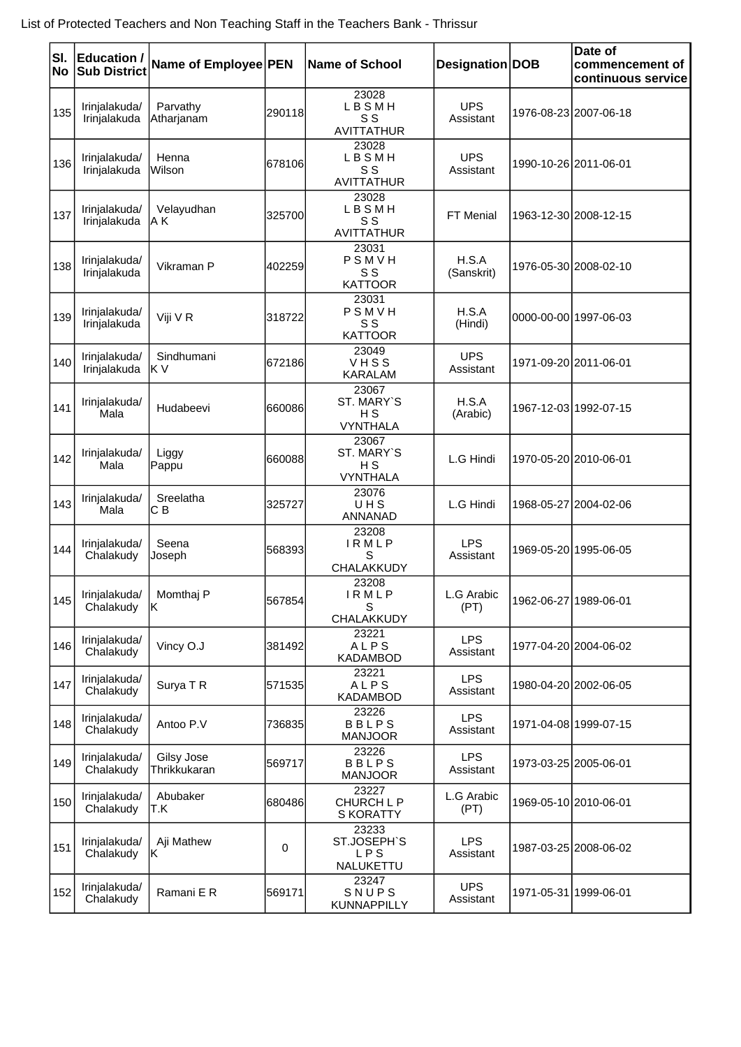| SI.<br>No | <b>Education /</b><br><b>Sub District</b> | Name of Employee PEN       |         | <b>Name of School</b>                         | Designation DOB         | Date of<br>commencement of<br>continuous service |
|-----------|-------------------------------------------|----------------------------|---------|-----------------------------------------------|-------------------------|--------------------------------------------------|
| 135       | Irinjalakuda/<br>Irinjalakuda             | Parvathy<br>Atharjanam     | 290118  | 23028<br>LBSMH<br>S S<br><b>AVITTATHUR</b>    | <b>UPS</b><br>Assistant | 1976-08-23 2007-06-18                            |
| 136       | Irinjalakuda/<br>Irinjalakuda             | Henna<br>Wilson            | 678106  | 23028<br>LBSMH<br>S S<br><b>AVITTATHUR</b>    | <b>UPS</b><br>Assistant | 1990-10-26 2011-06-01                            |
| 137       | Irinjalakuda/<br>Irinjalakuda             | Velayudhan<br>IA K         | 325700  | 23028<br>LBSMH<br>S S<br><b>AVITTATHUR</b>    | <b>FT Menial</b>        | 1963-12-30 2008-12-15                            |
| 138       | Irinjalakuda/<br>Irinjalakuda             | Vikraman P                 | 402259  | 23031<br>PSMVH<br>S S<br><b>KATTOOR</b>       | H.S.A<br>(Sanskrit)     | 1976-05-30 2008-02-10                            |
| 139       | Irinjalakuda/<br>Irinjalakuda             | Viji V R                   | 318722  | 23031<br>PSMVH<br>S S<br><b>KATTOOR</b>       | H.S.A<br>(Hindi)        | 0000-00-00 1997-06-03                            |
| 140       | Irinjalakuda/<br>Irinjalakuda             | Sindhumani<br>IK V         | 672186  | 23049<br>VHSS<br><b>KARALAM</b>               | <b>UPS</b><br>Assistant | 1971-09-20 2011-06-01                            |
| 141       | Irinjalakuda/<br>Mala                     | Hudabeevi                  | 1660086 | 23067<br>ST. MARY`S<br>H S<br><b>VYNTHALA</b> | H.S.A<br>(Arabic)       | 1967-12-03 1992-07-15                            |
| 142       | Irinjalakuda/<br>Mala                     | Liggy<br>Pappu             | 660088  | 23067<br>ST. MARY`S<br>НS<br><b>VYNTHALA</b>  | L.G Hindi               | 1970-05-20 2010-06-01                            |
| 143       | Irinjalakuda/<br>Mala                     | Sreelatha<br>CВ            | 325727  | 23076<br>UHS<br>ANNANAD                       | L.G Hindi               | 1968-05-27 2004-02-06                            |
| 144       | Irinjalakuda/<br>Chalakudy                | Seena<br>Joseph            | 568393  | 23208<br><b>IRMLP</b><br>S<br>CHALAKKUDY      | LPS<br>Assistant        | 1969-05-20 1995-06-05                            |
| 145       | Irinjalakuda/<br>Chalakudy                | Momthaj P<br>ΙK.           | 567854  | 23208<br>IRMLP<br>S<br>CHALAKKUDY             | L.G Arabic<br>(PT)      | 1962-06-27 1989-06-01                            |
| 146       | Irinjalakuda/<br>Chalakudy                | Vincy O.J                  | 381492  | 23221<br>ALPS<br><b>KADAMBOD</b>              | <b>LPS</b><br>Assistant | 1977-04-20 2004-06-02                            |
| 147       | Irinjalakuda/<br>Chalakudy                | Surya T R                  | 571535  | 23221<br>ALPS<br>KADAMBOD                     | <b>LPS</b><br>Assistant | 1980-04-20 2002-06-05                            |
| 148       | Irinjalakuda/<br>Chalakudy                | Antoo P.V                  | 736835  | 23226<br><b>BBLPS</b><br><b>MANJOOR</b>       | <b>LPS</b><br>Assistant | 1971-04-08 1999-07-15                            |
| 149       | Irinjalakuda/<br>Chalakudy                | Gilsy Jose<br>Thrikkukaran | 569717  | 23226<br><b>BBLPS</b><br><b>MANJOOR</b>       | <b>LPS</b><br>Assistant | 1973-03-25 2005-06-01                            |
| 150       | Irinjalakuda/<br>Chalakudy                | Abubaker<br>IT.K           | 680486  | 23227<br>CHURCH L P<br><b>S KORATTY</b>       | L.G Arabic<br>(PT)      | 1969-05-10 2010-06-01                            |
| 151       | Irinjalakuda/<br>Chalakudy                | Aji Mathew<br>lK.          | 0       | 23233<br>ST.JOSEPH'S<br>LPS<br>NALUKETTU      | <b>LPS</b><br>Assistant | 1987-03-25 2008-06-02                            |
| 152       | Irinjalakuda/<br>Chalakudy                | Ramani E R                 | 569171  | 23247<br>SNUPS<br>KUNNAPPILLY                 | <b>UPS</b><br>Assistant | 1971-05-31 1999-06-01                            |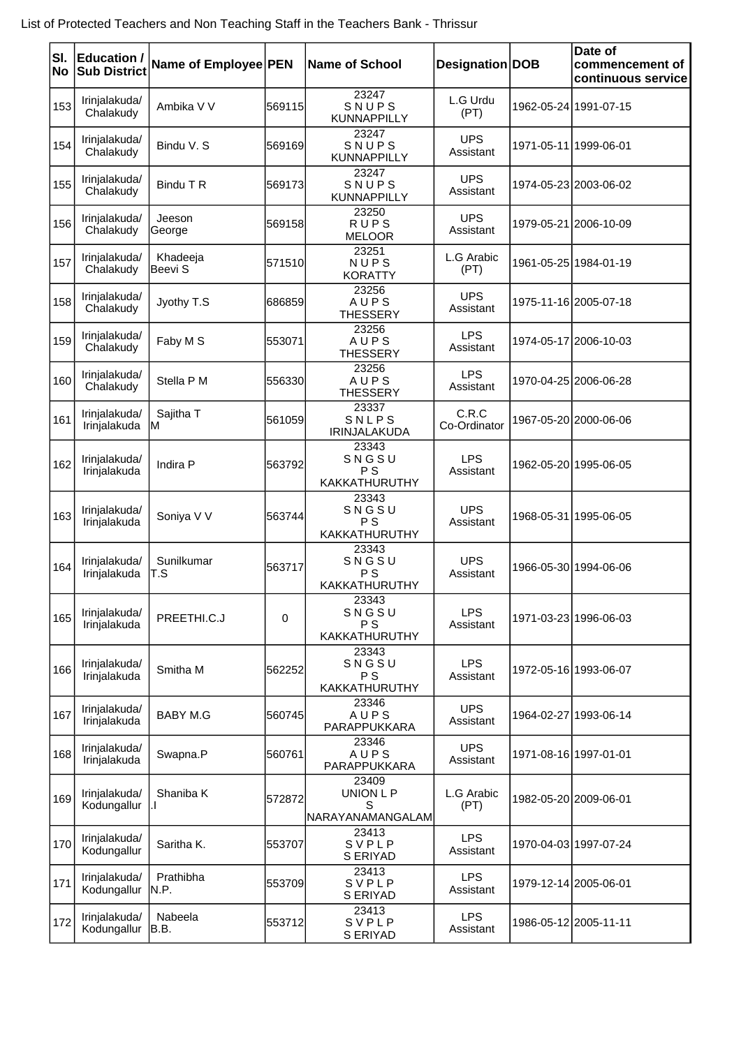| SI.<br>No | <b>Education /</b><br><b>Sub District</b> | Name of Employee PEN |        | <b>Name of School</b>                         | Designation DOB         |            | Date of<br>commencement of<br>continuous service |
|-----------|-------------------------------------------|----------------------|--------|-----------------------------------------------|-------------------------|------------|--------------------------------------------------|
| 153       | Irinjalakuda/<br>Chalakudy                | Ambika V V           | 569115 | 23247<br>SNUPS<br><b>KUNNAPPILLY</b>          | L.G Urdu<br>(PT)        |            | 1962-05-24 1991-07-15                            |
| 154       | Irinjalakuda/<br>Chalakudy                | Bindu V. S           | 569169 | 23247<br>SNUPS<br><b>KUNNAPPILLY</b>          | <b>UPS</b><br>Assistant |            | 1971-05-11 1999-06-01                            |
| 155       | Irinjalakuda/<br>Chalakudy                | Bindu T R            | 569173 | 23247<br>SNUPS<br><b>KUNNAPPILLY</b>          | <b>UPS</b><br>Assistant |            | 1974-05-23 2003-06-02                            |
| 156       | Irinjalakuda/<br>Chalakudy                | Jeeson<br>George     | 569158 | 23250<br><b>RUPS</b><br><b>MELOOR</b>         | <b>UPS</b><br>Assistant |            | 1979-05-21 2006-10-09                            |
| 157       | Irinjalakuda/<br>Chalakudy                | Khadeeja<br>Beevi S  | 571510 | 23251<br>NUPS<br><b>KORATTY</b>               | L.G Arabic<br>(PT)      |            | 1961-05-25 1984-01-19                            |
| 158       | Irinjalakuda/<br>Chalakudy                | Jyothy T.S           | 686859 | 23256<br>AUPS<br><b>THESSERY</b>              | <b>UPS</b><br>Assistant |            | 1975-11-16 2005-07-18                            |
| 159       | Irinjalakuda/<br>Chalakudy                | Faby M S             | 553071 | 23256<br>AUPS<br><b>THESSERY</b>              | <b>LPS</b><br>Assistant |            | 1974-05-17 2006-10-03                            |
| 160       | Irinjalakuda/<br>Chalakudy                | Stella P M           | 556330 | 23256<br>AUPS<br><b>THESSERY</b>              | <b>LPS</b><br>Assistant |            | 1970-04-25 2006-06-28                            |
| 161       | Irinjalakuda/<br>Irinjalakuda             | Sajitha T<br>ΙM      | 561059 | 23337<br><b>SNLPS</b><br><b>IRINJALAKUDA</b>  | C.R.C<br>Co-Ordinator   |            | 1967-05-20 2000-06-06                            |
| 162       | Irinjalakuda/<br>Irinjalakuda             | Indira P             | 563792 | 23343<br>SNGSU<br><b>PS</b><br>KAKKATHURUTHY  | <b>LPS</b><br>Assistant |            | 1962-05-20 1995-06-05                            |
| 163       | Irinjalakuda/<br>Irinjalakuda             | Soniya V V           | 563744 | 23343<br>SNGSU<br><b>PS</b><br>KAKKATHURUTHY  | <b>UPS</b><br>Assistant | 1968-05-31 | 1995-06-05                                       |
| 164       | Irinjalakuda/<br>Irinjalakuda             | Sunilkumar<br>T.S    | 563717 | 23343<br>SNGSU<br>P S<br><b>KAKKATHURUTHY</b> | <b>UPS</b><br>Assistant |            | 1966-05-30 1994-06-06                            |
| 165       | Irinjalakuda/<br>Irinjalakuda             | PREETHI.C.J          | 0      | 23343<br>SNGSU<br>P S<br>KAKKATHURUTHY        | <b>LPS</b><br>Assistant |            | 1971-03-23 1996-06-03                            |
| 166       | Irinjalakuda/<br>Irinjalakuda             | Smitha M             | 562252 | 23343<br>SNGSU<br>P S<br>KAKKATHURUTHY        | <b>LPS</b><br>Assistant |            | 1972-05-16 1993-06-07                            |
| 167       | Irinjalakuda/<br>Irinjalakuda             | <b>BABY M.G</b>      | 560745 | 23346<br>AUPS<br>PARAPPUKKARA                 | <b>UPS</b><br>Assistant |            | 1964-02-27 1993-06-14                            |
| 168       | Irinjalakuda/<br>Irinjalakuda             | Swapna.P             | 560761 | 23346<br>AUPS<br>PARAPPUKKARA                 | <b>UPS</b><br>Assistant |            | 1971-08-16 1997-01-01                            |
| 169       | Irinjalakuda/<br>Kodungallur              | Shaniba K            | 572872 | 23409<br>UNION L P<br>S<br> NARAYANAMANGALAM  | L.G Arabic<br>(PT)      |            | 1982-05-20 2009-06-01                            |
| 170       | Irinjalakuda/<br>Kodungallur              | Saritha K.           | 553707 | 23413<br>SVPLP<br>S ERIYAD                    | <b>LPS</b><br>Assistant |            | 1970-04-03 1997-07-24                            |
| 171       | Irinjalakuda/<br>Kodungallur              | Prathibha<br>N.P.    | 553709 | 23413<br>SVPLP<br>S ERIYAD                    | <b>LPS</b><br>Assistant |            | 1979-12-14 2005-06-01                            |
| 172       | Irinjalakuda/<br>Kodungallur              | Nabeela<br>IB.B.     | 553712 | 23413<br>SVPLP<br>S ERIYAD                    | <b>LPS</b><br>Assistant |            | 1986-05-12 2005-11-11                            |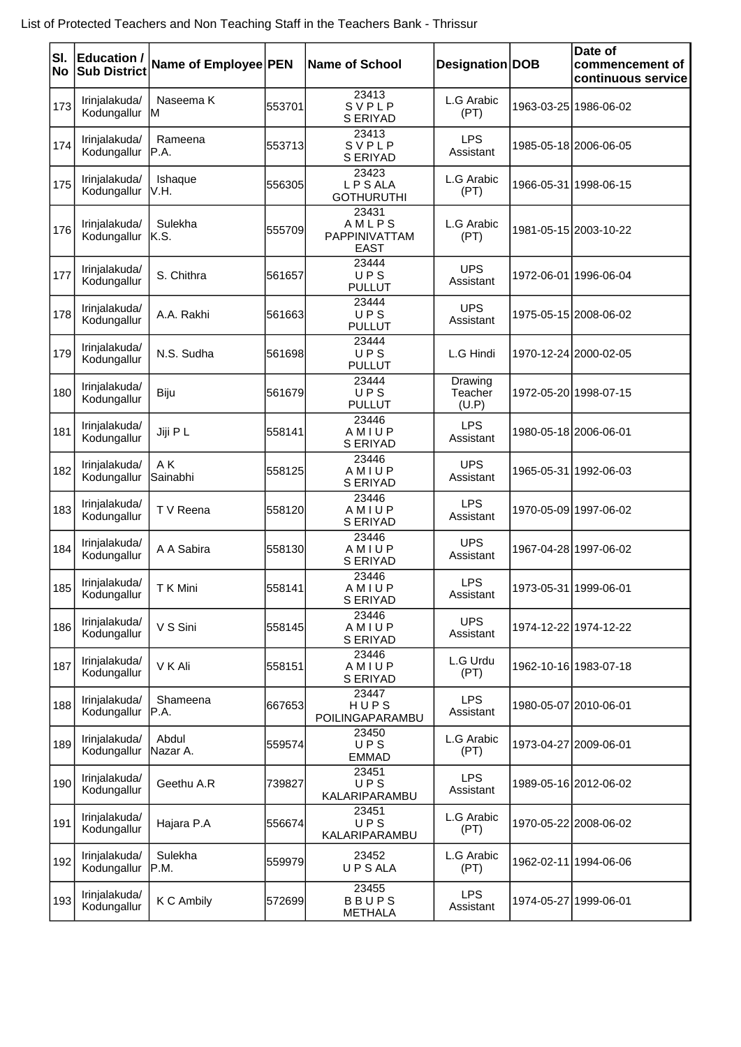| SI.<br>No | <b>Education /</b><br><b>Sub District</b> | Name of Employee PEN |        | <b>Name of School</b>                          | Designation DOB             |            | Date of<br>commencement of<br>continuous service |
|-----------|-------------------------------------------|----------------------|--------|------------------------------------------------|-----------------------------|------------|--------------------------------------------------|
| 173       | Irinjalakuda/<br>Kodungallur              | Naseema K<br>lм      | 553701 | 23413<br>SVPLP<br>S ERIYAD                     | L.G Arabic<br>(PT)          |            | 1963-03-25 1986-06-02                            |
| 174       | Irinjalakuda/<br>Kodungallur              | Rameena<br>IP.A.     | 553713 | 23413<br>SVPLP<br>S ERIYAD                     | <b>LPS</b><br>Assistant     |            | 1985-05-18 2006-06-05                            |
| 175       | Irinjalakuda/<br>Kodungallur              | Ishaque<br>IV.H.     | 556305 | 23423<br><b>LPSALA</b><br><b>GOTHURUTHI</b>    | L.G Arabic<br>(PT)          | 1966-05-31 | 1998-06-15                                       |
| 176       | Irinjalakuda/<br>Kodungallur              | Sulekha<br>IK.S.     | 555709 | 23431<br>AMLPS<br>PAPPINIVATTAM<br><b>EAST</b> | L.G Arabic<br>(PT)          |            | 1981-05-15 2003-10-22                            |
| 177       | Irinjalakuda/<br>Kodungallur              | S. Chithra           | 561657 | 23444<br>UPS<br><b>PULLUT</b>                  | <b>UPS</b><br>Assistant     |            | 1972-06-01 1996-06-04                            |
| 178       | Irinjalakuda/<br>Kodungallur              | A.A. Rakhi           | 561663 | 23444<br>UPS<br><b>PULLUT</b>                  | <b>UPS</b><br>Assistant     |            | 1975-05-15 2008-06-02                            |
| 179       | Irinjalakuda/<br>Kodungallur              | N.S. Sudha           | 561698 | 23444<br>UPS<br><b>PULLUT</b>                  | L.G Hindi                   |            | 1970-12-24 2000-02-05                            |
| 180       | Irinjalakuda/<br>Kodungallur              | Biju                 | 561679 | 23444<br>UPS<br><b>PULLUT</b>                  | Drawing<br>Teacher<br>(U.P) |            | 1972-05-20 1998-07-15                            |
| 181       | Irinjalakuda/<br>Kodungallur              | Jiji P L             | 558141 | 23446<br>AMIUP<br>S ERIYAD                     | <b>LPS</b><br>Assistant     |            | 1980-05-18 2006-06-01                            |
| 182       | Irinjalakuda/<br>Kodungallur              | AK<br>Sainabhi       | 558125 | 23446<br>AMIUP<br>S ERIYAD                     | <b>UPS</b><br>Assistant     | 1965-05-31 | 1992-06-03                                       |
| 183       | Irinjalakuda/<br>Kodungallur              | T V Reena            | 558120 | 23446<br>AMIUP<br>S ERIYAD                     | <b>LPS</b><br>Assistant     |            | 1970-05-09 1997-06-02                            |
| 184       | Irinjalakuda/<br>Kodungallur              | A A Sabira           | 558130 | 23446<br>AMIUP<br>S ERIYAD                     | <b>UPS</b><br>Assistant     |            | 1967-04-28 1997-06-02                            |
| 185       | Irinjalakuda/<br>Kodungallur              | T K Mini             | 558141 | 23446<br>AMIUP<br>S ERIYAD                     | <b>LPS</b><br>Assistant     |            | 1973-05-31 1999-06-01                            |
| 186       | Irinjalakuda/<br>Kodungallur              | V S Sini             | 558145 | 23446<br>AMIUP<br>S ERIYAD                     | <b>UPS</b><br>Assistant     |            | 1974-12-22 1974-12-22                            |
| 187       | Irinjalakuda/<br>Kodungallur              | V K Ali              | 558151 | 23446<br>AMIUP<br>S ERIYAD                     | L.G Urdu<br>(PT)            |            | 1962-10-16 1983-07-18                            |
| 188       | Irinjalakuda/<br>Kodungallur              | Shameena<br>IP.A.    | 667653 | 23447<br>HUPS<br>POILINGAPARAMBU               | <b>LPS</b><br>Assistant     |            | 1980-05-07 2010-06-01                            |
| 189       | Irinjalakuda/<br>Kodungallur              | Abdul<br>Nazar A.    | 559574 | 23450<br>UPS<br><b>EMMAD</b>                   | L.G Arabic<br>(PT)          |            | 1973-04-27 2009-06-01                            |
| 190       | Irinjalakuda/<br>Kodungallur              | Geethu A.R           | 739827 | 23451<br>UPS<br>KALARIPARAMBU                  | <b>LPS</b><br>Assistant     |            | 1989-05-16 2012-06-02                            |
| 191       | Irinjalakuda/<br>Kodungallur              | Hajara P.A           | 556674 | 23451<br>UPS<br>KALARIPARAMBU                  | L.G Arabic<br>(PT)          |            | 1970-05-22 2008-06-02                            |
| 192       | Irinjalakuda/<br>Kodungallur              | Sulekha<br>IP.M.     | 559979 | 23452<br><b>UPSALA</b>                         | L.G Arabic<br>(PT)          |            | 1962-02-11 1994-06-06                            |
| 193       | Irinjalakuda/<br>Kodungallur              | K C Ambily           | 572699 | 23455<br><b>BBUPS</b><br><b>METHALA</b>        | <b>LPS</b><br>Assistant     | 1974-05-27 | 1999-06-01                                       |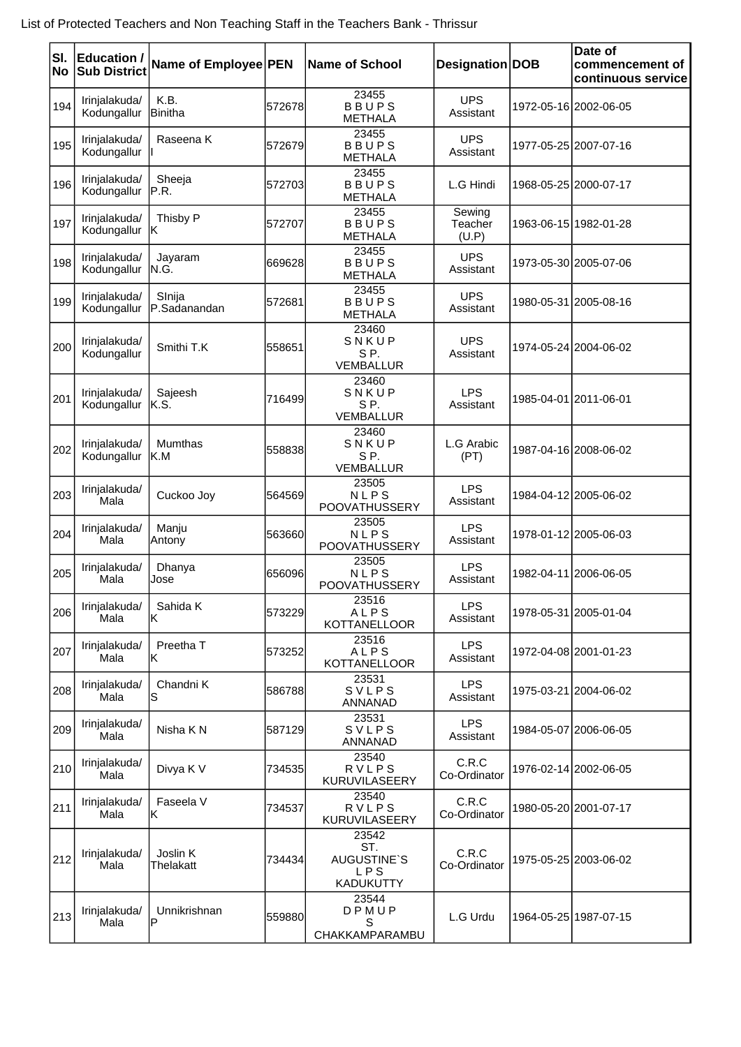| SI.<br><b>No</b> | <b>Education /</b><br><b>Sub District</b> | Name of Employee PEN   |        | <b>Name of School</b>                                  | Designation DOB            | Date of<br>commencement of<br>continuous service |
|------------------|-------------------------------------------|------------------------|--------|--------------------------------------------------------|----------------------------|--------------------------------------------------|
| 194              | Irinjalakuda/<br>Kodungallur              | K.B.<br>Binitha        | 572678 | 23455<br><b>BBUPS</b><br><b>METHALA</b>                | <b>UPS</b><br>Assistant    | 1972-05-16 2002-06-05                            |
| 195              | Irinjalakuda/<br>Kodungallur              | Raseena K              | 572679 | 23455<br><b>BBUPS</b><br><b>METHALA</b>                | <b>UPS</b><br>Assistant    | 1977-05-25 2007-07-16                            |
| 196              | Irinjalakuda/<br>Kodungallur              | Sheeja<br>IP.R.        | 572703 | 23455<br><b>BBUPS</b><br><b>METHALA</b>                | L.G Hindi                  | 1968-05-25 2000-07-17                            |
| 197              | Irinjalakuda/<br>Kodungallur              | Thisby P<br>IK         | 572707 | 23455<br><b>BBUPS</b><br><b>METHALA</b>                | Sewing<br>Teacher<br>(U.P) | 1963-06-15 1982-01-28                            |
| 198              | Irinjalakuda/<br>Kodungallur              | Jayaram<br>IN.G.       | 669628 | 23455<br><b>BBUPS</b><br><b>METHALA</b>                | <b>UPS</b><br>Assistant    | 1973-05-30 2005-07-06                            |
| 199              | Irinjalakuda/<br>Kodungallur              | Slnija<br>P.Sadanandan | 572681 | 23455<br><b>BBUPS</b><br><b>METHALA</b>                | <b>UPS</b><br>Assistant    | 1980-05-31 2005-08-16                            |
| 200              | Irinjalakuda/<br>Kodungallur              | Smithi T.K             | 558651 | 23460<br>SNKUP<br>SP.<br><b>VEMBALLUR</b>              | <b>UPS</b><br>Assistant    | 1974-05-24 2004-06-02                            |
| 201              | Irinjalakuda/<br>Kodungallur              | Sajeesh<br>IK.S.       | 716499 | 23460<br>SNKUP<br>SP.<br>VEMBALLUR                     | <b>LPS</b><br>Assistant    | 1985-04-01 2011-06-01                            |
| 202              | Irinjalakuda/<br>Kodungallur              | Mumthas<br>IK.M        | 558838 | 23460<br>SNKUP<br>SP.<br><b>VEMBALLUR</b>              | L.G Arabic<br>(PT)         | 1987-04-16 2008-06-02                            |
| 203              | Irinjalakuda/<br>Mala                     | Cuckoo Joy             | 564569 | 23505<br><b>NLPS</b><br>POOVATHUSSERY                  | <b>LPS</b><br>Assistant    | 1984-04-12 2005-06-02                            |
| 204              | Irinjalakuda/<br>Mala                     | Manju<br>Antony        | 563660 | 23505<br><b>NLPS</b><br>POOVATHUSSERY                  | <b>LPS</b><br>Assistant    | 1978-01-12 2005-06-03                            |
| 205              | Irinjalakuda/<br>Mala                     | Dhanya<br>Jose         | 656096 | 23505<br><b>NLPS</b><br>POOVATHUSSERY                  | <b>LPS</b><br>Assistant    | 1982-04-11 2006-06-05                            |
| 206              | Irinjalakuda/<br>Mala                     | Sahida K<br>lK         | 573229 | 23516<br>ALPS<br><b>KOTTANELLOOR</b>                   | <b>LPS</b><br>Assistant    | 1978-05-31 2005-01-04                            |
| 207              | Irinjalakuda/<br>Mala                     | Preetha T<br>ΙK        | 573252 | 23516<br>ALPS<br><b>KOTTANELLOOR</b>                   | <b>LPS</b><br>Assistant    | 1972-04-08 2001-01-23                            |
| 208              | Irinjalakuda/<br>Mala                     | Chandni K<br>IS        | 586788 | 23531<br>SVLPS<br>ANNANAD                              | <b>LPS</b><br>Assistant    | 1975-03-21 2004-06-02                            |
| 209              | Irinjalakuda/<br>Mala                     | Nisha K N              | 587129 | 23531<br>SVLPS<br>ANNANAD                              | <b>LPS</b><br>Assistant    | 1984-05-07 2006-06-05                            |
| 210              | Irinjalakuda/<br>Mala                     | Divya K V              | 734535 | 23540<br><b>RVLPS</b><br>KURUVILASEERY                 | C.R.C<br>Co-Ordinator      | 1976-02-14 2002-06-05                            |
| 211              | Irinjalakuda/<br>Mala                     | Faseela V<br>lΚ        | 734537 | 23540<br><b>RVLPS</b><br>KURUVILASEERY                 | C.R.C<br>Co-Ordinator      | 1980-05-20 2001-07-17                            |
| 212              | Irinjalakuda/<br>Mala                     | Joslin K<br>Thelakatt  | 734434 | 23542<br>ST.<br><b>AUGUSTINE'S</b><br>LPS<br>KADUKUTTY | C.R.C<br>Co-Ordinator      | 1975-05-25 2003-06-02                            |
| 213              | Irinjalakuda/<br>Mala                     | Unnikrishnan<br>ΙP     | 559880 | 23544<br>DPMUP<br>S<br>CHAKKAMPARAMBU                  | L.G Urdu                   | 1964-05-25 1987-07-15                            |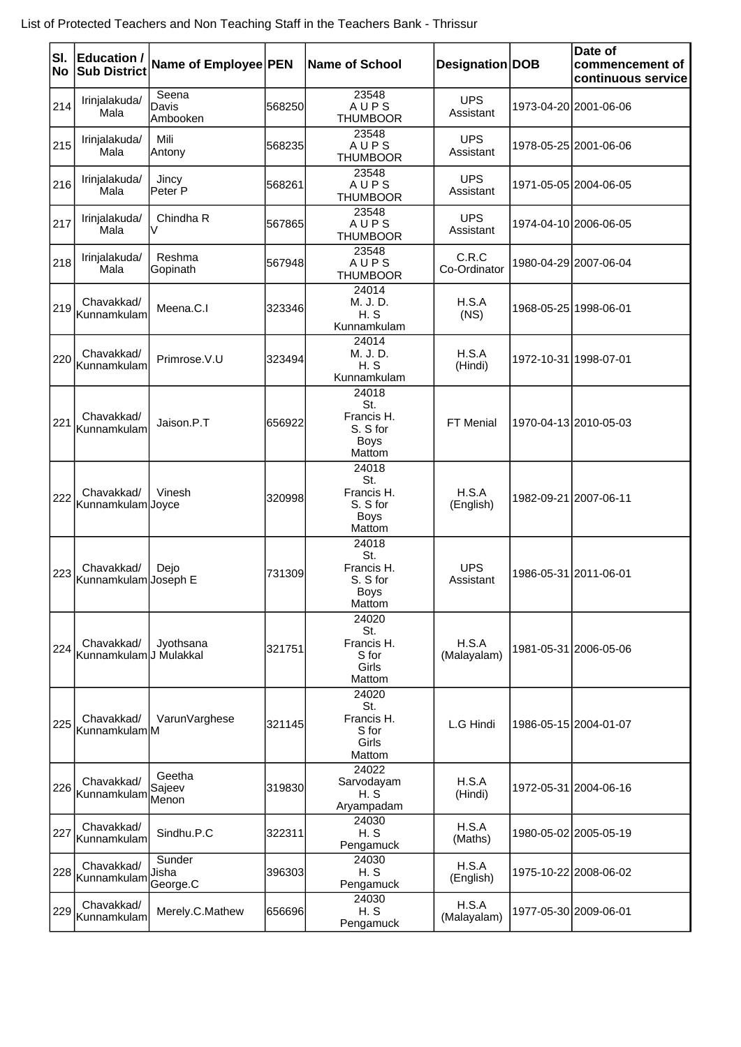| SI.<br>No | <b>Education /</b><br><b>Sub District</b> | Name of Employee PEN        |        | Name of School                                                  | Designation DOB         | Date of<br>commencement of<br>continuous service |
|-----------|-------------------------------------------|-----------------------------|--------|-----------------------------------------------------------------|-------------------------|--------------------------------------------------|
| 214       | Irinjalakuda/<br>Mala                     | Seena<br>Davis<br>Ambooken  | 568250 | 23548<br>AUPS<br><b>THUMBOOR</b>                                | <b>UPS</b><br>Assistant | 1973-04-20 2001-06-06                            |
| 215       | Irinjalakuda/<br>Mala                     | Mili<br>Antony              | 568235 | 23548<br>AUPS<br><b>THUMBOOR</b>                                | <b>UPS</b><br>Assistant | 1978-05-25 2001-06-06                            |
| 216       | Irinjalakuda/<br>Mala                     | Jincy<br>lPeter P           | 568261 | 23548<br>AUPS<br><b>THUMBOOR</b>                                | <b>UPS</b><br>Assistant | 1971-05-05 2004-06-05                            |
| 217       | Irinjalakuda/<br>Mala                     | Chindha R<br>V              | 567865 | 23548<br>AUPS<br><b>THUMBOOR</b>                                | <b>UPS</b><br>Assistant | 1974-04-10 2006-06-05                            |
| 218       | Irinjalakuda/<br>Mala                     | Reshma<br>Gopinath          | 567948 | 23548<br>AUPS<br><b>THUMBOOR</b>                                | C.R.C<br>Co-Ordinator   | 1980-04-29 2007-06-04                            |
| 219       | Chavakkad/<br>Kunnamkulam                 | Meena.C.I                   | 323346 | 24014<br>M. J. D.<br>H. S<br>Kunnamkulam                        | H.S.A<br>(NS)           | 1968-05-25 1998-06-01                            |
| 220       | Chavakkad/<br>lKunnamkulam                | Primrose.V.U                | 323494 | 24014<br>M. J. D.<br>H.S<br>Kunnamkulam                         | H.S.A<br>(Hindi)        | 1972-10-31 1998-07-01                            |
| 221       | Chavakkad/<br>Kunnamkulam                 | Jaison.P.T                  | 656922 | 24018<br>St.<br>Francis H.<br>S. S for<br><b>Boys</b><br>Mattom | FT Menial               | 1970-04-13 2010-05-03                            |
| 222       | Chavakkad/<br>Kunnamkulam Joyce           | Vinesh                      | 320998 | 24018<br>St.<br>Francis H.<br>S. S for<br>Boys<br>Mattom        | H.S.A<br>(English)      | 1982-09-21 2007-06-11                            |
| 223       | Chavakkad/<br>Kunnamkulam Joseph E        | Dejo                        | 731309 | 24018<br>St.<br>Francis H.<br>S. S for<br><b>Boys</b><br>Mattom | <b>UPS</b><br>Assistant | 1986-05-31 2011-06-01                            |
| 224       | Chavakkad/<br>Kunnamkulam J Mulakkal      | Jyothsana                   | 321751 | 24020<br>St.<br>Francis H.<br>S for<br>Girls<br>Mattom          | H.S.A<br>(Malayalam)    | 1981-05-31 2006-05-06                            |
| 225       | Chavakkad/<br>Kunnamkulam M               | VarunVarghese               | 321145 | 24020<br>St.<br>Francis H.<br>S for<br>Girls<br>Mattom          | L.G Hindi               | 1986-05-15 2004-01-07                            |
| 226       | Chavakkad/<br>Kunnamkulam                 | Geetha<br>Sajeev<br>Menon   | 319830 | 24022<br>Sarvodayam<br>H.S<br>Aryampadam                        | H.S.A<br>(Hindi)        | 1972-05-31 2004-06-16                            |
| 227       | Chavakkad/<br>Kunnamkulam                 | Sindhu.P.C                  | 322311 | 24030<br>H.S<br>Pengamuck                                       | H.S.A<br>(Maths)        | 1980-05-02 2005-05-19                            |
| 228       | Chavakkad/<br>Kunnamkulam                 | Sunder<br>Jisha<br>George.C | 396303 | 24030<br>H.S<br>Pengamuck                                       | H.S.A<br>(English)      | 1975-10-22 2008-06-02                            |
| 229       | Chavakkad/<br>Kunnamkulam                 | Merely.C.Mathew             | 656696 | 24030<br>H.S<br>Pengamuck                                       | H.S.A<br>(Malayalam)    | 1977-05-30 2009-06-01                            |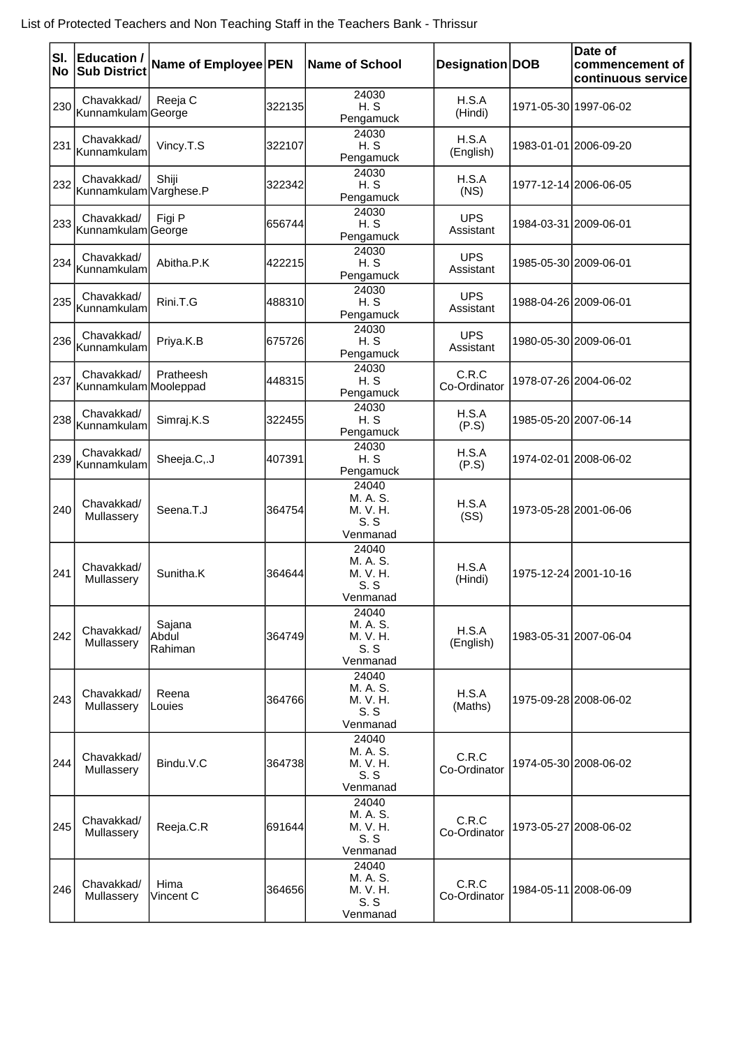|     | SI. Education /<br><b>No Sub District</b> | Name of Employee PEN       |        | <b>Name of School</b>                            | Designation DOB         | Date of<br>commencement of<br>continuous service |
|-----|-------------------------------------------|----------------------------|--------|--------------------------------------------------|-------------------------|--------------------------------------------------|
| 230 | Chavakkad/<br>Kunnamkulam George          | Reeja C                    | 322135 | 24030<br>H.S<br>Pengamuck                        | H.S.A<br>(Hindi)        | 1971-05-30 1997-06-02                            |
| 231 | Chavakkad/<br>lKunnamkulaml               | Vincy.T.S                  | 322107 | 24030<br>H.S<br>Pengamuck                        | H.S.A<br>(English)      | 1983-01-01 2006-09-20                            |
|     | Chavakkad/<br>232 Kunnamkulam Varghese.P  | Shiji                      | 322342 | 24030<br>H.S<br>Pengamuck                        | H.S.A<br>(NS)           | 1977-12-14 2006-06-05                            |
|     | Chavakkad/<br>233 Kunnamkulam George      | Figi P                     | 656744 | 24030<br>H.S<br>Pengamuck                        | <b>UPS</b><br>Assistant | 1984-03-31 2009-06-01                            |
| 234 | Chavakkad/<br>Kunnamkulam                 | Abitha.P.K                 | 422215 | 24030<br>H.S<br>Pengamuck                        | <b>UPS</b><br>Assistant | 1985-05-30 2009-06-01                            |
| 235 | Chavakkad/<br>Kunnamkulam                 | Rini.T.G                   | 488310 | 24030<br>H.S<br>Pengamuck                        | <b>UPS</b><br>Assistant | 1988-04-26 2009-06-01                            |
| 236 | Chavakkad/<br>Kunnamkulam                 | Priya.K.B                  | 675726 | 24030<br>H.S<br>Pengamuck                        | <b>UPS</b><br>Assistant | 1980-05-30 2009-06-01                            |
| 237 | Chavakkad/<br>Kunnamkulam Mooleppad       | Pratheesh                  | 448315 | 24030<br>H.S<br>Pengamuck                        | C.R.C<br>Co-Ordinator   | 1978-07-26 2004-06-02                            |
| 238 | Chavakkad/<br>Kunnamkulam                 | Simraj.K.S                 | 322455 | 24030<br>H.S<br>Pengamuck                        | H.S.A<br>(P.S)          | 1985-05-20 2007-06-14                            |
| 239 | Chavakkad/<br>Kunnamkulam                 | Sheeja.C,.J                | 407391 | 24030<br>H.S<br>Pengamuck                        | H.S.A<br>(P.S)          | 1974-02-01 2008-06-02                            |
| 240 | Chavakkad/<br>Mullassery                  | Seena.T.J                  | 364754 | 24040<br>M. A. S.<br>M. V. H.<br>S.S<br>Venmanad | H.S.A<br>(SS)           | 1973-05-28 2001-06-06                            |
| 241 | Chavakkad/<br>Mullassery                  | Sunitha.K                  | 364644 | 24040<br>M. A. S.<br>M. V. H.<br>S.S<br>Venmanad | H.S.A<br>(Hindi)        | 1975-12-24 2001-10-16                            |
| 242 | Chavakkad/<br>Mullassery                  | Sajana<br>Abdul<br>Rahiman | 364749 | 24040<br>M. A. S.<br>M. V. H.<br>S.S<br>Venmanad | H.S.A<br>(English)      | 1983-05-31 2007-06-04                            |
| 243 | Chavakkad/<br>Mullassery                  | Reena<br>Louies            | 364766 | 24040<br>M. A. S.<br>M. V. H.<br>S.S<br>Venmanad | H.S.A<br>(Maths)        | 1975-09-28 2008-06-02                            |
| 244 | Chavakkad/<br>Mullassery                  | Bindu.V.C                  | 364738 | 24040<br>M. A. S.<br>M. V. H.<br>S.S<br>Venmanad | C.R.C<br>Co-Ordinator   | 1974-05-30 2008-06-02                            |
| 245 | Chavakkad/<br>Mullassery                  | Reeja.C.R                  | 691644 | 24040<br>M. A. S.<br>M. V. H.<br>S.S<br>Venmanad | C.R.C<br>Co-Ordinator   | 1973-05-27 2008-06-02                            |
| 246 | Chavakkad/<br>Mullassery                  | Hima<br>Vincent C          | 364656 | 24040<br>M. A. S.<br>M. V. H.<br>S.S<br>Venmanad | C.R.C<br>Co-Ordinator   | 1984-05-11 2008-06-09                            |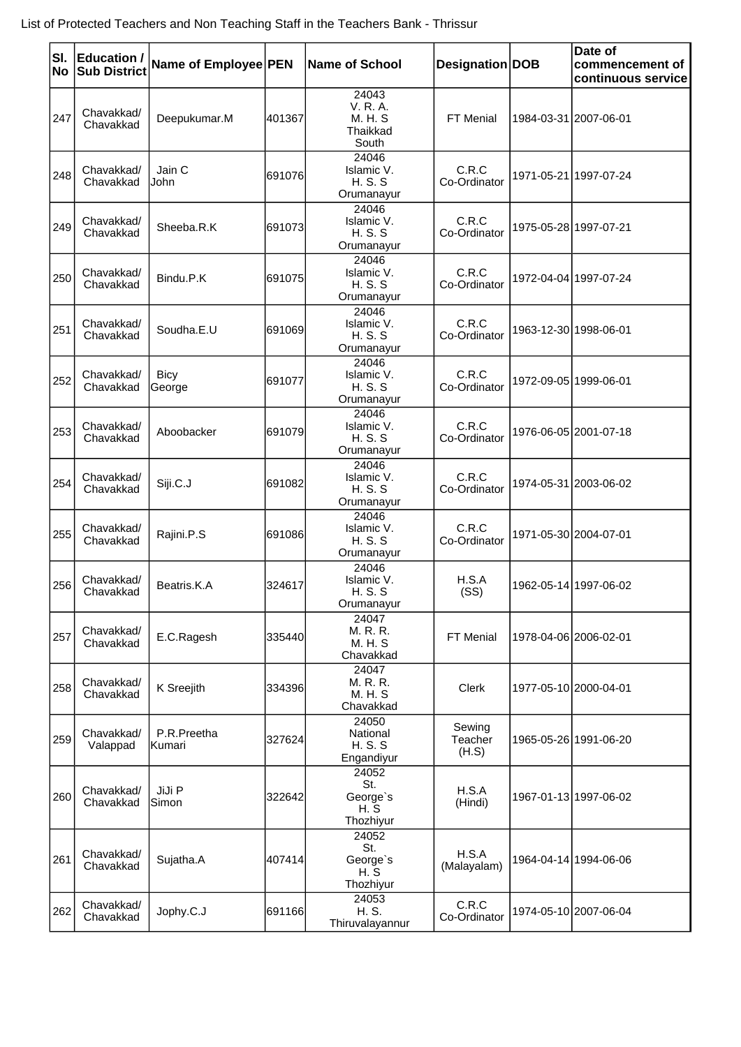| SI.<br><b>No</b> | <b>Education /</b><br><b>Sub District</b> | Name of Employee PEN   |        | Name of School                                    | Designation DOB            | Date of<br>commencement of<br>continuous service |
|------------------|-------------------------------------------|------------------------|--------|---------------------------------------------------|----------------------------|--------------------------------------------------|
| 247              | Chavakkad/<br>Chavakkad                   | Deepukumar.M           | 401367 | 24043<br>V. R. A.<br>M. H. S<br>Thaikkad<br>South | FT Menial                  | 1984-03-31 2007-06-01                            |
| 248              | Chavakkad/<br>Chavakkad                   | Jain C<br>John         | 691076 | 24046<br>Islamic V.<br><b>H.S.S</b><br>Orumanayur | C.R.C<br>Co-Ordinator      | 1971-05-21 1997-07-24                            |
| 249              | Chavakkad/<br>Chavakkad                   | Sheeba.R.K             | 691073 | 24046<br>Islamic V.<br><b>H.S.S</b><br>Orumanayur | C.R.C<br>Co-Ordinator      | 1975-05-28 1997-07-21                            |
| 250              | Chavakkad/<br>Chavakkad                   | Bindu.P.K              | 691075 | 24046<br>Islamic V.<br><b>H.S.S</b><br>Orumanayur | C.R.C<br>Co-Ordinator      | 1972-04-04 1997-07-24                            |
| 251              | Chavakkad/<br>Chavakkad                   | Soudha.E.U             | 691069 | 24046<br>Islamic V.<br><b>H.S.S</b><br>Orumanayur | C.R.C<br>Co-Ordinator      | 1963-12-30 1998-06-01                            |
| 252              | Chavakkad/<br>Chavakkad                   | <b>Bicy</b><br>George  | 691077 | 24046<br>Islamic V.<br><b>H.S.S</b><br>Orumanayur | C.R.C<br>Co-Ordinator      | 1972-09-05 1999-06-01                            |
| 253              | Chavakkad/<br>Chavakkad                   | Aboobacker             | 691079 | 24046<br>Islamic V.<br><b>H.S.S</b><br>Orumanayur | C.R.C<br>Co-Ordinator      | 1976-06-05 2001-07-18                            |
| 254              | Chavakkad/<br>Chavakkad                   | Siji.C.J               | 691082 | 24046<br>Islamic V.<br><b>H.S.S</b><br>Orumanayur | C.R.C<br>Co-Ordinator      | 1974-05-31 2003-06-02                            |
| 255              | Chavakkad/<br>Chavakkad                   | Rajini.P.S             | 691086 | 24046<br>Islamic V.<br><b>H.S.S</b><br>Orumanayur | C.R.C<br>Co-Ordinator      | 1971-05-30 2004-07-01                            |
| 256              | Chavakkad/<br>Chavakkad                   | Beatris.K.A            | 324617 | 24046<br>Islamic V.<br><b>H.S.S</b><br>Orumanayur | H.S.A<br>(SS)              | 1962-05-14 1997-06-02                            |
| 257              | Chavakkad/<br>Chavakkad                   | E.C.Ragesh             | 335440 | 24047<br>M. R. R.<br>M. H. S<br>Chavakkad         | FT Menial                  | 1978-04-06 2006-02-01                            |
| 258              | Chavakkad/<br>Chavakkad                   | K Sreejith             | 334396 | 24047<br>M. R. R.<br>M. H. S<br>Chavakkad         | Clerk                      | 1977-05-10 2000-04-01                            |
| 259              | Chavakkad/<br>Valappad                    | P.R.Preetha<br>lKumari | 327624 | 24050<br>National<br><b>H.S.S</b><br>Engandiyur   | Sewing<br>Teacher<br>(H.S) | 1965-05-26 1991-06-20                            |
| 260              | Chavakkad/<br>Chavakkad                   | JiJi P<br>Simon        | 322642 | 24052<br>St.<br>George's<br>H.S<br>Thozhiyur      | H.S.A<br>(Hindi)           | 1967-01-13 1997-06-02                            |
| 261              | Chavakkad/<br>Chavakkad                   | Sujatha.A              | 407414 | 24052<br>St.<br>George's<br>H.S<br>Thozhiyur      | H.S.A<br>(Malayalam)       | 1964-04-14 1994-06-06                            |
| 262              | Chavakkad/<br>Chavakkad                   | Jophy.C.J              | 691166 | 24053<br>H. S.<br>Thiruvalayannur                 | C.R.C<br>Co-Ordinator      | 1974-05-10 2007-06-04                            |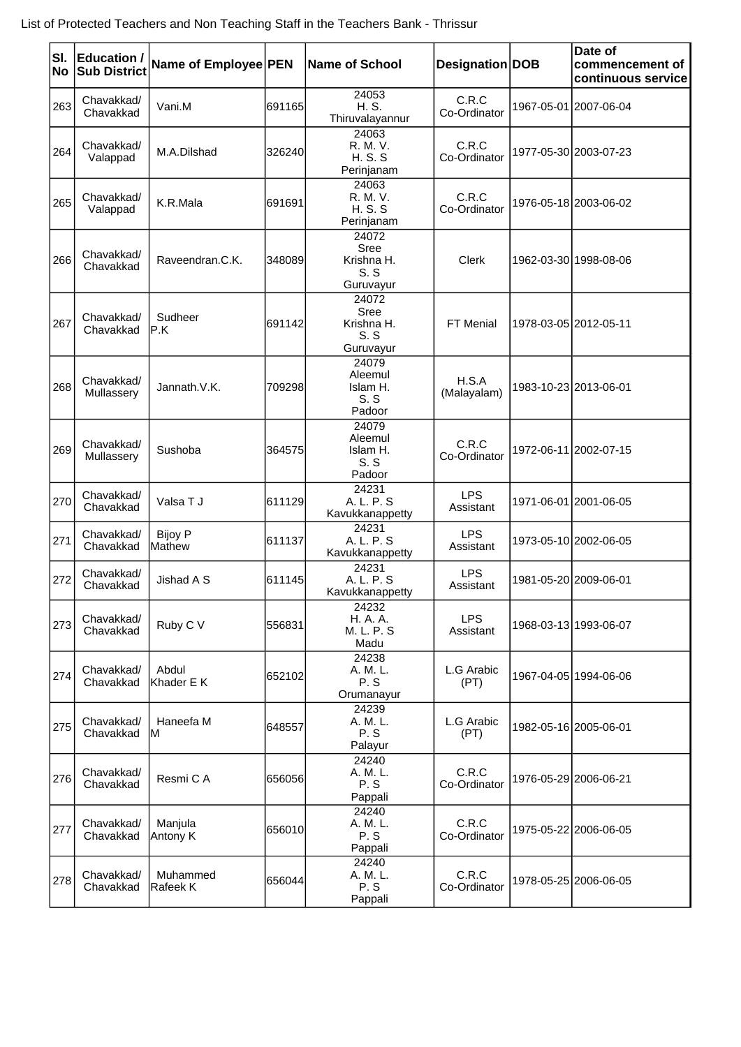| SI.<br>No | <b>Education /</b><br><b>Sub District</b> | Name of Employee PEN     |        | <b>Name of School</b>                           | Designation DOB         | Date of<br>commencement of<br>continuous service |
|-----------|-------------------------------------------|--------------------------|--------|-------------------------------------------------|-------------------------|--------------------------------------------------|
| 263       | Chavakkad/<br>Chavakkad                   | Vani.M                   | 691165 | 24053<br>H. S.<br>Thiruvalayannur               | C.R.C<br>Co-Ordinator   | 1967-05-01 2007-06-04                            |
| 264       | Chavakkad/<br>Valappad                    | M.A.Dilshad              | 326240 | 24063<br>R. M. V.<br><b>H.S.S</b><br>Perinjanam | C.R.C<br>Co-Ordinator   | 1977-05-30 2003-07-23                            |
| 265       | Chavakkad/<br>Valappad                    | K.R.Mala                 | 691691 | 24063<br>R. M. V.<br><b>H.S.S</b><br>Perinjanam | C.R.C<br>Co-Ordinator   | 1976-05-18 2003-06-02                            |
| 266       | Chavakkad/<br>Chavakkad                   | Raveendran.C.K.          | 348089 | 24072<br>Sree<br>Krishna H.<br>S.S<br>Guruvayur | <b>Clerk</b>            | 1962-03-30 1998-08-06                            |
| 267       | Chavakkad/<br>Chavakkad                   | Sudheer<br>IP.K          | 691142 | 24072<br>Sree<br>Krishna H.<br>S.S<br>Guruvayur | FT Menial               | 1978-03-05 2012-05-11                            |
| 268       | Chavakkad/<br>Mullassery                  | Jannath.V.K.             | 709298 | 24079<br>Aleemul<br>Islam H.<br>S.S<br>Padoor   | H.S.A<br>(Malayalam)    | 1983-10-23 2013-06-01                            |
| 269       | Chavakkad/<br>Mullassery                  | Sushoba                  | 364575 | 24079<br>Aleemul<br>Islam H.<br>S.S<br>Padoor   | C.R.C<br>Co-Ordinator   | 1972-06-11 2002-07-15                            |
| 270       | Chavakkad/<br>Chavakkad                   | Valsa T J                | 611129 | 24231<br>A. L. P. S<br>Kavukkanappetty          | <b>LPS</b><br>Assistant | 1971-06-01 2001-06-05                            |
| 271       | Chavakkad/<br>Chavakkad                   | <b>Bijoy P</b><br>Mathew | 611137 | 24231<br>A, L, P, S<br>Kavukkanappetty          | <b>LPS</b><br>Assistant | 1973-05-10 2002-06-05                            |
| 272       | Chavakkad/<br>Chavakkad                   | Jishad A S               | 611145 | 24231<br>A. L. P. S<br>Kavukkanappetty          | <b>LPS</b><br>Assistant | 1981-05-20 2009-06-01                            |
| 273       | Chavakkad/<br>Chavakkad                   | Ruby C V                 | 556831 | 24232<br>H. A. A.<br>M. L. P. S<br>Madu         | <b>LPS</b><br>Assistant | 1968-03-13 1993-06-07                            |
| 274       | Chavakkad/<br>Chavakkad                   | Abdul<br>lKhader E K     | 652102 | 24238<br>A. M. L.<br>P.S<br>Orumanayur          | L.G Arabic<br>(PT)      | 1967-04-05 1994-06-06                            |
| 275       | Chavakkad/<br>Chavakkad                   | Haneefa M<br>ΙM          | 648557 | 24239<br>A. M. L.<br>P.S<br>Palayur             | L.G Arabic<br>(PT)      | 1982-05-16 2005-06-01                            |
| 276       | Chavakkad/<br>Chavakkad                   | Resmi C A                | 656056 | 24240<br>A. M. L.<br>P.S<br>Pappali             | C.R.C<br>Co-Ordinator   | 1976-05-29 2006-06-21                            |
| 277       | Chavakkad/<br>Chavakkad                   | Manjula<br>Antony K      | 656010 | 24240<br>A. M. L.<br>P.S<br>Pappali             | C.R.C<br>Co-Ordinator   | 1975-05-22 2006-06-05                            |
| 278       | Chavakkad/<br>Chavakkad                   | Muhammed<br>Rafeek K     | 656044 | 24240<br>A. M. L.<br>P.S<br>Pappali             | C.R.C<br>Co-Ordinator   | 1978-05-25 2006-06-05                            |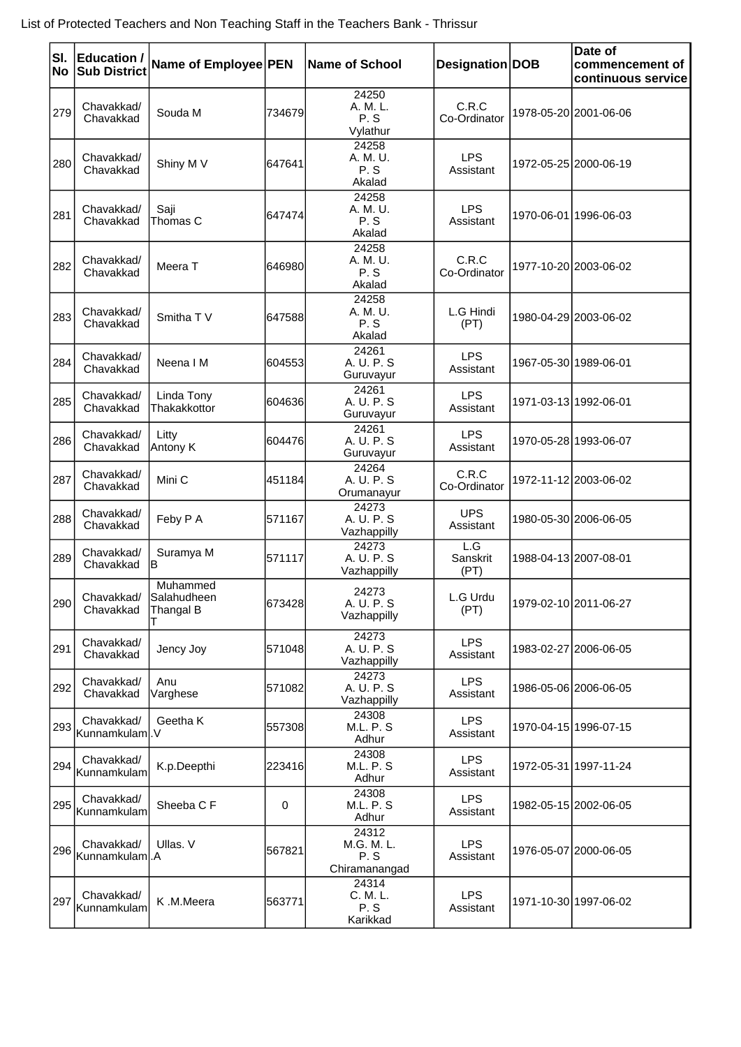| SI.<br><b>No</b> | <b>Education /</b><br><b>Sub District</b> | Name of Employee PEN                   |        | Name of School                              | Designation DOB         | Date of<br>commencement of<br>continuous service |
|------------------|-------------------------------------------|----------------------------------------|--------|---------------------------------------------|-------------------------|--------------------------------------------------|
| 279              | Chavakkad/<br>Chavakkad                   | Souda M                                | 734679 | 24250<br>A. M. L.<br>P.S<br>Vylathur        | C.R.C<br>Co-Ordinator   | 1978-05-20 2001-06-06                            |
| 280              | Chavakkad/<br>Chavakkad                   | Shiny M V                              | 647641 | 24258<br>A. M. U.<br>P.S<br>Akalad          | <b>LPS</b><br>Assistant | 1972-05-25 2000-06-19                            |
| 281              | Chavakkad/<br>Chavakkad                   | Saji<br>Thomas C                       | 647474 | 24258<br>A. M. U.<br>P.S<br>Akalad          | <b>LPS</b><br>Assistant | 1970-06-01 1996-06-03                            |
| 282              | Chavakkad/<br>Chavakkad                   | Meera T                                | 646980 | 24258<br>A. M. U.<br>P.S<br>Akalad          | C.R.C<br>Co-Ordinator   | 1977-10-20 2003-06-02                            |
| 283              | Chavakkad/<br>Chavakkad                   | Smitha TV                              | 647588 | 24258<br>A. M. U.<br>P.S<br>Akalad          | L.G Hindi<br>(PT)       | 1980-04-29 2003-06-02                            |
| 284              | Chavakkad/<br>Chavakkad                   | Neena I M                              | 604553 | 24261<br>A. U. P. S<br>Guruvayur            | <b>LPS</b><br>Assistant | 1967-05-30 1989-06-01                            |
| 285              | Chavakkad/<br>Chavakkad                   | Linda Tony<br>Thakakkottor             | 604636 | 24261<br>A. U. P. S<br>Guruvayur            | <b>LPS</b><br>Assistant | 1971-03-13 1992-06-01                            |
| 286              | Chavakkad/<br>Chavakkad                   | Litty<br>Antony K                      | 604476 | 24261<br>A. U. P. S<br>Guruvayur            | <b>LPS</b><br>Assistant | 1970-05-28 1993-06-07                            |
| 287              | Chavakkad/<br>Chavakkad                   | Mini C                                 | 451184 | 24264<br>A. U. P. S.<br>Orumanayur          | C.R.C<br>Co-Ordinator   | 1972-11-12 2003-06-02                            |
| 288              | Chavakkad/<br>Chavakkad                   | Feby P A                               | 571167 | 24273<br>A. U. P. S<br>Vazhappilly          | <b>UPS</b><br>Assistant | 1980-05-30 2006-06-05                            |
| 289              | Chavakkad/<br>Chavakkad                   | Suramya M<br>IB                        | 571117 | 24273<br>A. U. P. S<br>Vazhappilly          | L.G<br>Sanskrit<br>(PT) | 1988-04-13 2007-08-01                            |
| 290              | Chavakkad/<br>Chavakkad                   | Muhammed<br> Salahudheen <br>Thangal B | 673428 | 24273<br>A. U. P. S<br>Vazhappilly          | L.G Urdu<br>(PT)        | 1979-02-10 2011-06-27                            |
| 291              | Chavakkad/<br>Chavakkad                   | Jency Joy                              | 571048 | 24273<br>A. U. P. S<br>Vazhappilly          | <b>LPS</b><br>Assistant | 1983-02-27 2006-06-05                            |
| 292              | Chavakkad/<br>Chavakkad                   | Anu<br>Varghese                        | 571082 | 24273<br>A. U. P. S<br>Vazhappilly          | <b>LPS</b><br>Assistant | 1986-05-06 2006-06-05                            |
| 293              | Chavakkad/<br>Kunnamkulaml.V              | Geetha K                               | 557308 | 24308<br><b>M.L. P. S</b><br>Adhur          | <b>LPS</b><br>Assistant | 1970-04-15 1996-07-15                            |
| 294              | Chavakkad/<br>Kunnamkulam                 | K.p.Deepthi                            | 223416 | 24308<br><b>M.L. P. S</b><br>Adhur          | <b>LPS</b><br>Assistant | 1972-05-31 1997-11-24                            |
| 295              | Chavakkad/<br>Kunnamkulam                 | Sheeba C F                             | 0      | 24308<br><b>M.L. P. S</b><br>Adhur          | <b>LPS</b><br>Assistant | 1982-05-15 2002-06-05                            |
| 296              | Chavakkad/<br>Kunnamkulam.A               | Ullas, V                               | 567821 | 24312<br>M.G. M. L.<br>P.S<br>Chiramanangad | <b>LPS</b><br>Assistant | 1976-05-07 2000-06-05                            |
| 297              | Chavakkad/<br>Kunnamkulam                 | K.M.Meera                              | 563771 | 24314<br>C. M. L.<br>P.S<br>Karikkad        | <b>LPS</b><br>Assistant | 1971-10-30 1997-06-02                            |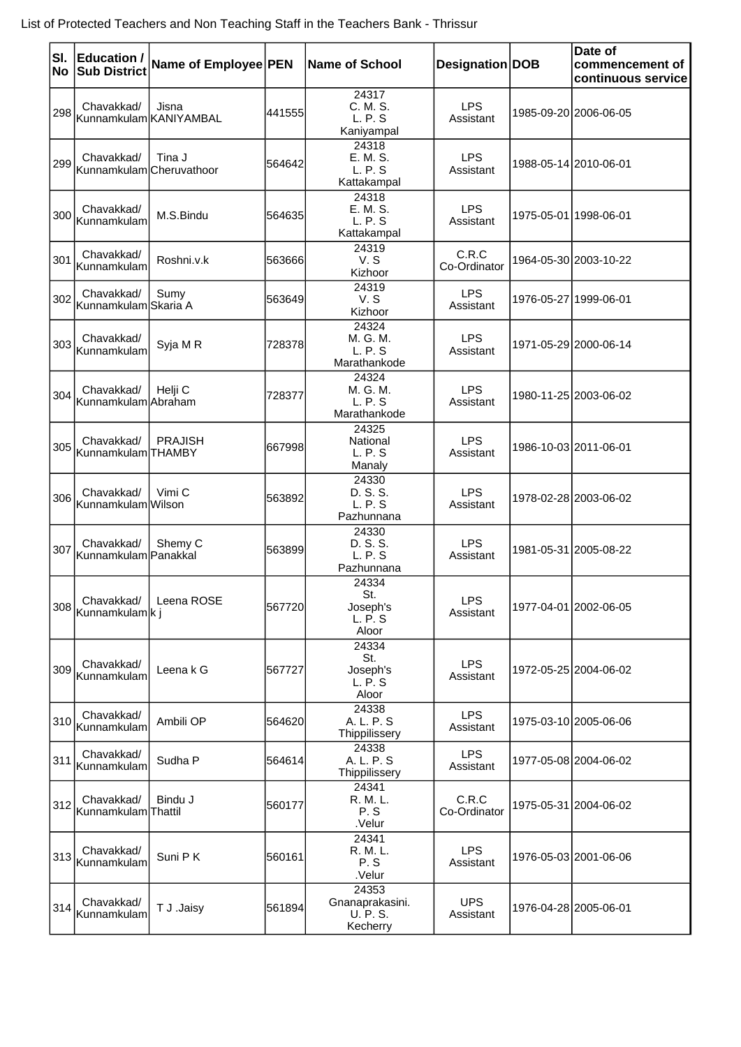| SI.<br>No | <b>Education /</b><br><b>Sub District</b> | Name of Employee PEN                |        | <b>Name of School</b>                            | Designation DOB         | Date of<br>commencement of<br>continuous service |
|-----------|-------------------------------------------|-------------------------------------|--------|--------------------------------------------------|-------------------------|--------------------------------------------------|
|           | Chavakkad/                                | Jisna<br>298 Kunnamkulam KANIYAMBAL | 441555 | 24317<br>C. M. S.<br>L. P. S<br>Kaniyampal       | <b>LPS</b><br>Assistant | 1985-09-20 2006-06-05                            |
| 299       | Chavakkad/<br>Kunnamkulam Cheruvathoor    | Tina J                              | 564642 | 24318<br>E. M. S.<br>L. P. S<br>Kattakampal      | <b>LPS</b><br>Assistant | 1988-05-14 2010-06-01                            |
| 300       | Chavakkad/<br>Kunnamkulam                 | M.S.Bindu                           | 564635 | 24318<br>E. M. S.<br>L. P. S<br>Kattakampal      | <b>LPS</b><br>Assistant | 1975-05-01 1998-06-01                            |
| 301       | Chavakkad/<br>Kunnamkulam                 | Roshni.v.k                          | 563666 | 24319<br>V.S<br>Kizhoor                          | C.R.C<br>Co-Ordinator   | 1964-05-30 2003-10-22                            |
|           | Chavakkad/<br>302 Kunnamkulam Skaria A    | Sumy                                | 563649 | 24319<br>V.S<br>Kizhoor                          | <b>LPS</b><br>Assistant | 1976-05-27 1999-06-01                            |
| 303       | Chavakkad/<br>Kunnamkulam                 | Syja M R                            | 728378 | 24324<br>M. G. M.<br>L. P. S<br>Marathankode     | <b>LPS</b><br>Assistant | 1971-05-29 2000-06-14                            |
|           | Chavakkad/<br>304 Kunnamkulam Abraham     | Helii C                             | 728377 | 24324<br>M. G. M.<br>L. P. S<br>Marathankode     | <b>LPS</b><br>Assistant | 1980-11-25 2003-06-02                            |
| 305       | Chavakkad/<br>Kunnamkulam THAMBY          | <b>PRAJISH</b>                      | 667998 | 24325<br>National<br>L. P. S<br>Manaly           | <b>LPS</b><br>Assistant | 1986-10-03 2011-06-01                            |
| 306       | Chavakkad/<br>Kunnamkulam Wilson          | Vimi C                              | 563892 | 24330<br>D. S. S.<br>L. P. S<br>Pazhunnana       | <b>LPS</b><br>Assistant | 1978-02-28 2003-06-02                            |
| 307       | Chavakkad/<br>Kunnamkulam Panakkal        | Shemy C                             | 563899 | 24330<br>D. S. S.<br>L. P. S<br>Pazhunnana       | <b>LPS</b><br>Assistant | 1981-05-31 2005-08-22                            |
|           | Chavakkad/<br>308 Kunnamkulam Ki          | Leena ROSE                          | 567720 | 24334<br>St.<br>Joseph's<br>L. P. S<br>Aloor     | <b>LPS</b><br>Assistant | 1977-04-01 2002-06-05                            |
| 309       | Chavakkad/<br>Kunnamkulam                 | Leena k G                           | 567727 | 24334<br>St.<br>Joseph's<br>L. P. S<br>Aloor     | <b>LPS</b><br>Assistant | 1972-05-25 2004-06-02                            |
| 310       | Chavakkad/<br>Kunnamkulam                 | Ambili OP                           | 564620 | 24338<br>A. L. P. S<br>Thippilissery             | <b>LPS</b><br>Assistant | 1975-03-10 2005-06-06                            |
| 311       | Chavakkad/<br>Kunnamkulam                 | Sudha P                             | 564614 | 24338<br>A. L. P. S<br>Thippilissery             | <b>LPS</b><br>Assistant | 1977-05-08 2004-06-02                            |
|           | Chavakkad/<br>312 Kunnamkulam Thattil     | Bindu J                             | 560177 | 24341<br>R. M. L.<br>P.S<br>.Velur               | C.R.C<br>Co-Ordinator   | 1975-05-31 2004-06-02                            |
| 313       | Chavakkad/<br>Kunnamkulam                 | Suni PK                             | 560161 | 24341<br>R. M. L.<br>P.S<br>.Velur               | <b>LPS</b><br>Assistant | 1976-05-03 2001-06-06                            |
|           | Chavakkad/<br>314 Kunnamkulam             | T J .Jaisy                          | 561894 | 24353<br>Gnanaprakasini.<br>U. P. S.<br>Kecherry | <b>UPS</b><br>Assistant | 1976-04-28 2005-06-01                            |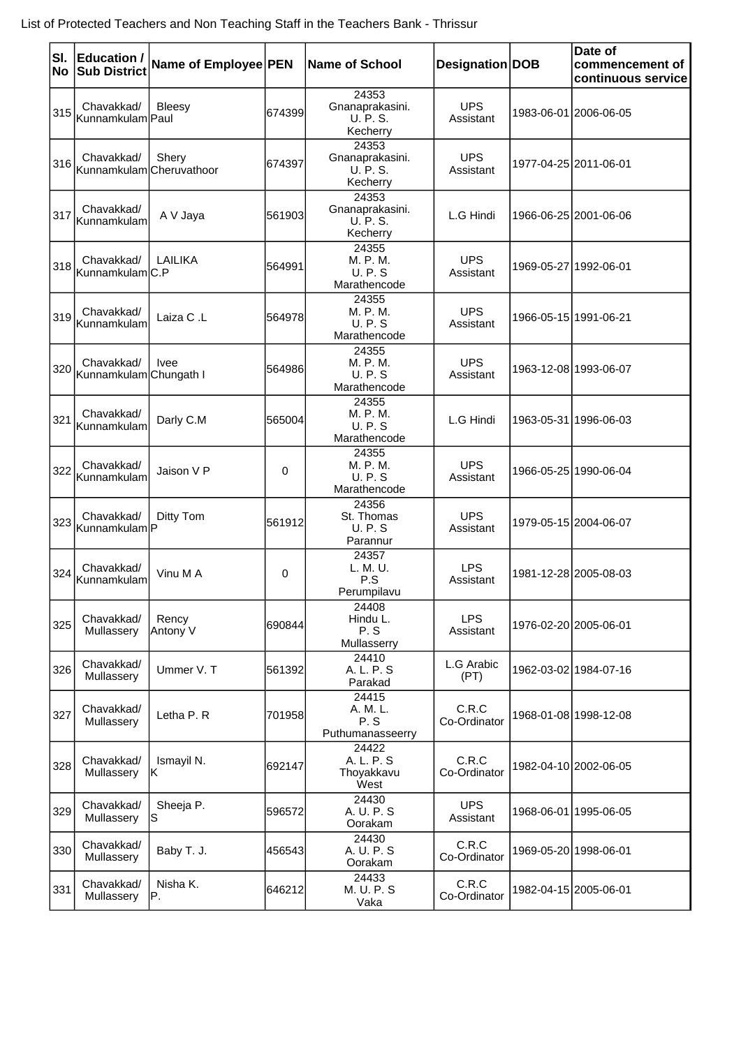| SI.<br>No | <b>Education /</b><br><b>Sub District</b> | Name of Employee PEN |        | <b>Name of School</b>                                 | Designation DOB         | Date of<br>commencement of<br>continuous service |
|-----------|-------------------------------------------|----------------------|--------|-------------------------------------------------------|-------------------------|--------------------------------------------------|
| 315       | Chavakkad/<br>Kunnamkulam Paul            | Bleesy               | 674399 | 24353<br>Gnanaprakasini.<br><b>U.P.S.</b><br>Kecherry | <b>UPS</b><br>Assistant | 1983-06-01 2006-06-05                            |
| 316       | Chavakkad/<br>Kunnamkulam Cheruvathoor    | Shery                | 674397 | 24353<br>Gnanaprakasini.<br><b>U.P.S.</b><br>Kecherry | <b>UPS</b><br>Assistant | 1977-04-25 2011-06-01                            |
| 317       | Chavakkad/<br>Kunnamkulam                 | A V Jaya             | 561903 | 24353<br>Gnanaprakasini.<br>U. P. S.<br>Kecherry      | L.G Hindi               | 1966-06-25 2001-06-06                            |
| 318       | Chavakkad/<br>Kunnamkulam C.P             | LAILIKA              | 564991 | 24355<br>M. P. M.<br>U. P. S<br>Marathencode          | <b>UPS</b><br>Assistant | 1969-05-27 1992-06-01                            |
| 319       | Chavakkad/<br>Kunnamkulam                 | Laiza C.L            | 564978 | 24355<br>M. P. M.<br>U. P. S<br>Marathencode          | <b>UPS</b><br>Assistant | 1966-05-15 1991-06-21                            |
| 320       | Chavakkad/<br>Kunnamkulam Chungath I      | <b>Ivee</b>          | 564986 | 24355<br>M. P. M.<br>U. P. S<br>Marathencode          | <b>UPS</b><br>Assistant | 1963-12-08 1993-06-07                            |
| 321       | Chavakkad/<br>Kunnamkulam                 | Darly C.M            | 565004 | 24355<br>M. P. M.<br>U. P. S<br>Marathencode          | L.G Hindi               | 1963-05-31 1996-06-03                            |
| 322       | Chavakkad/<br><b>Kunnamkulam</b>          | Jaison V P           | 0      | 24355<br>M. P. M.<br>U. P. S<br>Marathencode          | <b>UPS</b><br>Assistant | 1966-05-25 1990-06-04                            |
|           | Chavakkad/<br>323 Kunnamkulam P           | Ditty Tom            | 561912 | 24356<br>St. Thomas<br>U. P. S<br>Parannur            | <b>UPS</b><br>Assistant | 1979-05-15 2004-06-07                            |
| 324       | Chavakkad/<br>Kunnamkulam                 | Vinu M A             | 0      | 24357<br>L. M. U.<br>P.S<br>Perumpilavu               | <b>LPS</b><br>Assistant | 1981-12-28 2005-08-03                            |
| 325       | Chavakkad/<br>Mullassery                  | Rency<br>Antony V    | 690844 | 24408<br>Hindu L.<br>P.S<br>Mullasserry               | <b>LPS</b><br>Assistant | 1976-02-20 2005-06-01                            |
| 326       | Chavakkad/<br>Mullassery                  | Ummer V. T           | 561392 | 24410<br>A. L. P. S<br>Parakad                        | L.G Arabic<br>(PT)      | 1962-03-02 1984-07-16                            |
| 327       | Chavakkad/<br>Mullassery                  | Letha P. R           | 701958 | 24415<br>A. M. L.<br>P.S<br>Puthumanasseerry          | C.R.C<br>Co-Ordinator   | 1968-01-08 1998-12-08                            |
| 328       | Chavakkad/<br>Mullassery                  | Ismayil N.<br>IK.    | 692147 | 24422<br>A. L. P. S<br>Thoyakkavu<br>West             | C.R.C<br>Co-Ordinator   | 1982-04-10 2002-06-05                            |
| 329       | Chavakkad/<br>Mullassery                  | Sheeja P.<br>lS.     | 596572 | 24430<br>A. U. P. S<br>Oorakam                        | <b>UPS</b><br>Assistant | 1968-06-01 1995-06-05                            |
| 330       | Chavakkad/<br>Mullassery                  | Baby T. J.           | 456543 | 24430<br>A. U. P. S<br>Oorakam                        | C.R.C<br>Co-Ordinator   | 1969-05-20 1998-06-01                            |
| 331       | Chavakkad/<br>Mullassery                  | Nisha K.<br>IP.      | 646212 | 24433<br>M. U. P. S<br>Vaka                           | C.R.C<br>Co-Ordinator   | 1982-04-15 2005-06-01                            |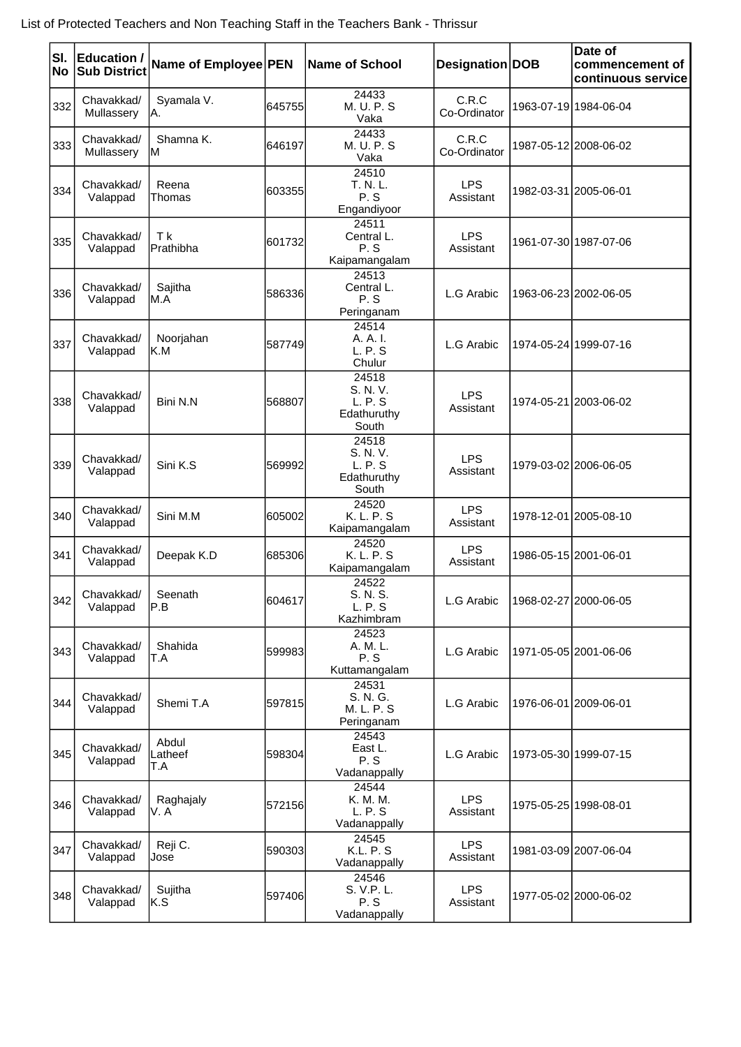| SI.<br>No | <b>Education /</b><br><b>Sub District</b> | Name of Employee PEN    |        | <b>Name of School</b>                                | Designation   DOB       | Date of<br>commencement of<br>continuous service |
|-----------|-------------------------------------------|-------------------------|--------|------------------------------------------------------|-------------------------|--------------------------------------------------|
| 332       | Chavakkad/<br>Mullassery                  | Syamala V.<br>IA.       | 645755 | 24433<br>M. U. P. S<br>Vaka                          | C.R.C<br>Co-Ordinator   | 1963-07-19 1984-06-04                            |
| 333       | Chavakkad/<br>Mullassery                  | Shamna K.<br>ΙM         | 646197 | 24433<br>M. U. P. S<br>Vaka                          | C.R.C<br>Co-Ordinator   | 1987-05-12 2008-06-02                            |
| 334       | Chavakkad/<br>Valappad                    | Reena<br>Thomas         | 603355 | 24510<br>T. N. L.<br>P.S<br>Engandiyoor              | <b>LPS</b><br>Assistant | 1982-03-31 2005-06-01                            |
| 335       | Chavakkad/<br>Valappad                    | T k<br>Prathibha        | 601732 | 24511<br>Central L.<br>P.S<br>Kaipamangalam          | LPS<br>Assistant        | 1961-07-30 1987-07-06                            |
| 336       | Chavakkad/<br>Valappad                    | Sajitha<br>M.A          | 586336 | 24513<br>Central L.<br>P.S<br>Peringanam             | L.G Arabic              | 1963-06-23 2002-06-05                            |
| 337       | Chavakkad/<br>Valappad                    | Noorjahan<br>IK.M       | 587749 | 24514<br>A. A. I.<br>L. P. S<br>Chulur               | L.G Arabic              | 1974-05-24 1999-07-16                            |
| 338       | Chavakkad/<br>Valappad                    | Bini N.N                | 568807 | 24518<br>S. N. V.<br>L. P. S<br>Edathuruthy<br>South | <b>LPS</b><br>Assistant | 1974-05-21 2003-06-02                            |
| 339       | Chavakkad/<br>Valappad                    | Sini K.S                | 569992 | 24518<br>S. N. V.<br>L. P. S<br>Edathuruthy<br>South | <b>LPS</b><br>Assistant | 1979-03-02 2006-06-05                            |
| 340       | Chavakkad/<br>Valappad                    | Sini M.M                | 605002 | 24520<br>K. L. P. S<br>Kaipamangalam                 | <b>LPS</b><br>Assistant | 1978-12-01 2005-08-10                            |
| 341       | Chavakkad/<br>Valappad                    | Deepak K.D              | 685306 | 24520<br>K. L. P. S<br>Kaipamangalam                 | <b>LPS</b><br>Assistant | 1986-05-15 2001-06-01                            |
| 342       | Chavakkad/<br>Valappad                    | Seenath<br>∣P.B         | 604617 | 24522<br>S. N. S.<br>L. P. S<br>Kazhimbram           | L.G Arabic              | 1968-02-27 2000-06-05                            |
| 343       | Chavakkad/<br>Valappad                    | Shahida<br>T.A          | 599983 | 24523<br>A. M. L.<br>P.S<br>Kuttamangalam            | L.G Arabic              | 1971-05-05 2001-06-06                            |
| 344       | Chavakkad/<br>Valappad                    | Shemi T.A               | 597815 | 24531<br>S. N. G.<br>M. L. P. S<br>Peringanam        | L.G Arabic              | 1976-06-01 2009-06-01                            |
| 345       | Chavakkad/<br>Valappad                    | Abdul<br>Latheef<br>T.A | 598304 | 24543<br>East L.<br>P.S<br>Vadanappally              | L.G Arabic              | 1973-05-30 1999-07-15                            |
| 346       | Chavakkad/<br>Valappad                    | Raghajaly<br>V. A       | 572156 | 24544<br>K. M. M.<br>L. P. S<br>Vadanappally         | <b>LPS</b><br>Assistant | 1975-05-25 1998-08-01                            |
| 347       | Chavakkad/<br>Valappad                    | Reji C.<br>Jose         | 590303 | 24545<br><b>K.L. P. S</b><br>Vadanappally            | <b>LPS</b><br>Assistant | 1981-03-09 2007-06-04                            |
| 348       | Chavakkad/<br>Valappad                    | Sujitha<br>IK.S         | 597406 | 24546<br>S. V.P. L.<br>P.S<br>Vadanappally           | <b>LPS</b><br>Assistant | 1977-05-02 2000-06-02                            |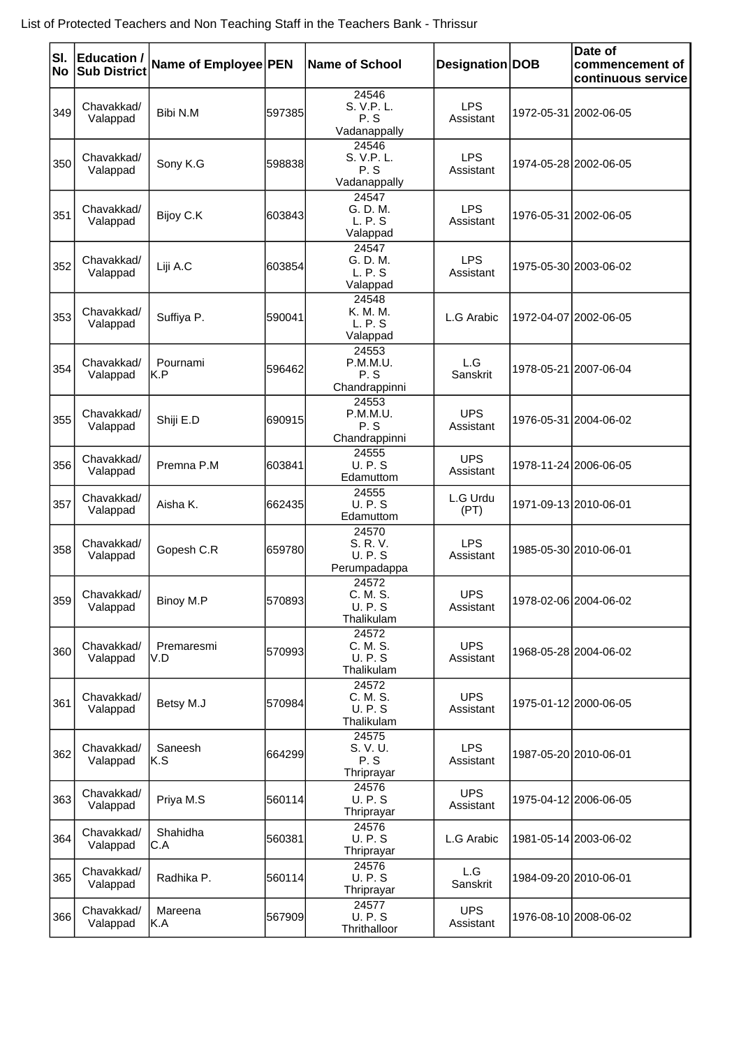| SI.<br>No | <b>Education /</b><br><b>Sub District</b> | Name of Employee PEN |        | <b>Name of School</b>                             | Designation DOB         | Date of<br>commencement of<br>continuous service |
|-----------|-------------------------------------------|----------------------|--------|---------------------------------------------------|-------------------------|--------------------------------------------------|
| 349       | Chavakkad/<br>Valappad                    | Bibi N.M             | 597385 | 24546<br>S. V.P. L.<br>P.S<br>Vadanappally        | <b>LPS</b><br>Assistant | 1972-05-31 2002-06-05                            |
| 350       | Chavakkad/<br>Valappad                    | Sony K.G             | 598838 | 24546<br>S. V.P. L.<br>P.S<br>Vadanappally        | <b>LPS</b><br>Assistant | 1974-05-28 2002-06-05                            |
| 351       | Chavakkad/<br>Valappad                    | Bijoy C.K            | 603843 | 24547<br>G. D. M.<br>L. P. S<br>Valappad          | <b>LPS</b><br>Assistant | 1976-05-31 2002-06-05                            |
| 352       | Chavakkad/<br>Valappad                    | Liji A.C             | 603854 | 24547<br>G. D. M.<br>L. P. S<br>Valappad          | <b>LPS</b><br>Assistant | 1975-05-30 2003-06-02                            |
| 353       | Chavakkad/<br>Valappad                    | Suffiya P.           | 590041 | 24548<br>K. M. M.<br>L. P. S<br>Valappad          | L.G Arabic              | 1972-04-07 2002-06-05                            |
| 354       | Chavakkad/<br>Valappad                    | Pournami<br>IK.P     | 596462 | 24553<br>P.M.M.U.<br>P.S<br>Chandrappinni         | L.G<br>Sanskrit         | 1978-05-21 2007-06-04                            |
| 355       | Chavakkad/<br>Valappad                    | Shiji E.D            | 690915 | 24553<br>P.M.M.U.<br>P.S<br>Chandrappinni         | <b>UPS</b><br>Assistant | 1976-05-31 2004-06-02                            |
| 356       | Chavakkad/<br>Valappad                    | Premna P.M           | 603841 | 24555<br><b>U.P.S</b><br>Edamuttom                | <b>UPS</b><br>Assistant | 1978-11-24 2006-06-05                            |
| 357       | Chavakkad/<br>Valappad                    | Aisha K.             | 662435 | 24555<br><b>U.P.S</b><br>Edamuttom                | L.G Urdu<br>(PT)        | 1971-09-13 2010-06-01                            |
| 358       | Chavakkad/<br>Valappad                    | Gopesh C.R           | 659780 | 24570<br>S. R. V.<br><b>U.P.S</b><br>Perumpadappa | <b>LPS</b><br>Assistant | 1985-05-30 2010-06-01                            |
| 359       | Chavakkad/<br>Valappad                    | Binoy M.P            | 570893 | 24572<br>C. M. S.<br><b>U.P.S</b><br>Thalikulam   | <b>UPS</b><br>Assistant | 1978-02-06 2004-06-02                            |
| 360       | Chavakkad/<br>Valappad                    | Premaresmi<br>V.D    | 570993 | 24572<br>C. M. S.<br><b>U.P.S</b><br>Thalikulam   | <b>UPS</b><br>Assistant | 1968-05-28 2004-06-02                            |
| 361       | Chavakkad/<br>Valappad                    | Betsy M.J            | 570984 | 24572<br>C. M. S.<br><b>U.P.S</b><br>Thalikulam   | <b>UPS</b><br>Assistant | 1975-01-12 2000-06-05                            |
| 362       | Chavakkad/<br>Valappad                    | Saneesh<br>IK.S      | 664299 | 24575<br>S. V. U.<br>P.S<br>Thriprayar            | <b>LPS</b><br>Assistant | 1987-05-20 2010-06-01                            |
| 363       | Chavakkad/<br>Valappad                    | Priya M.S            | 560114 | 24576<br><b>U.P.S</b><br>Thriprayar               | <b>UPS</b><br>Assistant | 1975-04-12 2006-06-05                            |
| 364       | Chavakkad/<br>Valappad                    | Shahidha<br>IC.A     | 560381 | 24576<br><b>U.P.S</b><br>Thriprayar               | L.G Arabic              | 1981-05-14 2003-06-02                            |
| 365       | Chavakkad/<br>Valappad                    | Radhika P.           | 560114 | 24576<br><b>U.P.S</b><br>Thriprayar               | L.G<br>Sanskrit         | 1984-09-20 2010-06-01                            |
| 366       | Chavakkad/<br>Valappad                    | Mareena<br> K.A      | 567909 | 24577<br><b>U.P.S</b><br>Thrithalloor             | <b>UPS</b><br>Assistant | 1976-08-10 2008-06-02                            |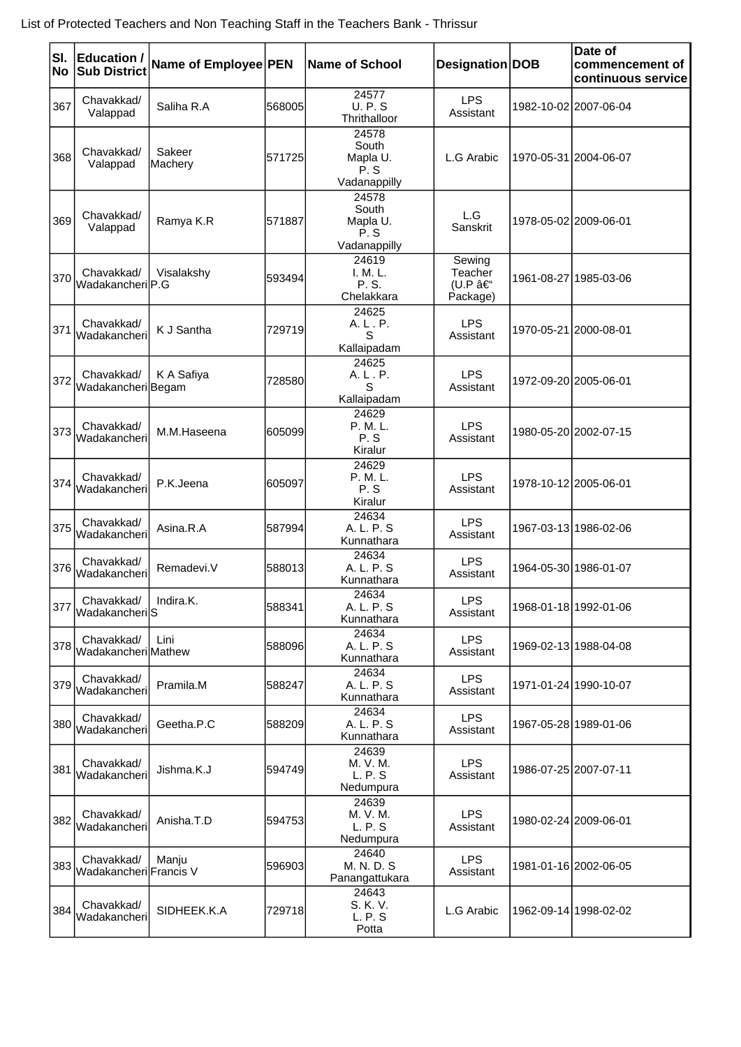| SI.<br>No | <b>Education /</b><br><b>Sub District</b> | Name of Employee PEN |         | <b>Name of School</b>                             | Designation DOB                         | Date of<br>commencement of<br>continuous service |
|-----------|-------------------------------------------|----------------------|---------|---------------------------------------------------|-----------------------------------------|--------------------------------------------------|
| 367       | Chavakkad/<br>Valappad                    | Saliha R.A           | 568005  | 24577<br><b>U.P.S</b><br>Thrithalloor             | <b>LPS</b><br>Assistant                 | 1982-10-02 2007-06-04                            |
| 368       | Chavakkad/<br>Valappad                    | Sakeer<br>Machery    | 571725  | 24578<br>South<br>Mapla U.<br>P.S<br>Vadanappilly | L.G Arabic                              | 1970-05-31 2004-06-07                            |
| 369       | Chavakkad/<br>Valappad                    | Ramya K.R            | 571887  | 24578<br>South<br>Mapla U.<br>P.S<br>Vadanappilly | L.G<br>Sanskrit                         | 1978-05-02 2009-06-01                            |
| 370       | Chavakkad/<br>WadakancherilP.G            | Visalakshy           | 593494  | 24619<br>I. M. L.<br>P. S.<br>Chelakkara          | Sewing<br>Teacher<br>(U.P –<br>Package) | 1961-08-27 1985-03-06                            |
| 371       | Chavakkad/<br>Wadakancheri                | K J Santha           | 729719  | 24625<br>A. L. P.<br>S<br>Kallaipadam             | <b>LPS</b><br>Assistant                 | 1970-05-21 2000-08-01                            |
| 372       | Chavakkad/<br>Wadakancheri Begam          | K A Safiya           | 728580  | 24625<br>A. L. P.<br>S<br>Kallaipadam             | <b>LPS</b><br>Assistant                 | 1972-09-20 2005-06-01                            |
| 373       | Chavakkad/<br>Wadakancheri                | M.M.Haseena          | 1605099 | 24629<br>P. M. L.<br>P.S<br>Kiralur               | <b>LPS</b><br>Assistant                 | 1980-05-20 2002-07-15                            |
| 374       | Chavakkad/<br>Wadakancheri                | P.K.Jeena            | 1605097 | 24629<br>P. M. L.<br>P.S<br>Kiralur               | <b>LPS</b><br>Assistant                 | 1978-10-12 2005-06-01                            |
| 375       | Chavakkad/<br>Wadakancheri                | Asina.R.A            | 587994  | 24634<br>A. L. P. S<br>Kunnathara                 | <b>LPS</b><br>Assistant                 | 1967-03-13 1986-02-06                            |
| 376       | Chavakkad/<br>Wadakancheri                | Remadevi.V           | 588013  | 24634<br>A. L. P. S<br>Kunnathara                 | <b>LPS</b><br>Assistant                 | 1964-05-30 1986-01-07                            |
| 377       | Chavakkad/<br>lWadakancherilS             | Indira.K.            | 588341  | 24634<br>A. L. P. S<br>Kunnathara                 | <b>LPS</b><br>Assistant                 | 1968-01-18 1992-01-06                            |
| 378       | Chavakkad/<br>Wadakancheri Mathew         | Lini                 | 588096  | 24634<br>A. L. P. S<br>Kunnathara                 | <b>LPS</b><br>Assistant                 | 1969-02-13 1988-04-08                            |
| 379       | Chavakkad/<br>Wadakancheri                | Pramila.M            | 588247  | 24634<br>A. L. P. S<br>Kunnathara                 | <b>LPS</b><br>Assistant                 | 1971-01-24 1990-10-07                            |
|           | Chavakkad/<br>380 Wadakancheri            | Geetha.P.C           | 588209  | 24634<br>A. L. P. S<br>Kunnathara                 | <b>LPS</b><br>Assistant                 | 1967-05-28 1989-01-06                            |
| 381       | Chavakkad/<br>Wadakancheri                | Jishma.K.J           | 594749  | 24639<br>M. V. M.<br>L. P. S<br>Nedumpura         | <b>LPS</b><br>Assistant                 | 1986-07-25 2007-07-11                            |
|           | Chavakkad/<br>382 Wadakancheri            | Anisha.T.D           | 594753  | 24639<br>M. V. M.<br>L. P. S<br>Nedumpura         | <b>LPS</b><br>Assistant                 | 1980-02-24 2009-06-01                            |
|           | Chavakkad/<br>383 Wadakancheri Francis V  | Manju                | 596903  | 24640<br>M. N. D. S<br>Panangattukara             | <b>LPS</b><br>Assistant                 | 1981-01-16 2002-06-05                            |
|           | Chavakkad/<br>384 Wadakancheri            | SIDHEEK.K.A          | 729718  | 24643<br>S. K. V.<br>L. P. S<br>Potta             | L.G Arabic                              | 1962-09-14 1998-02-02                            |